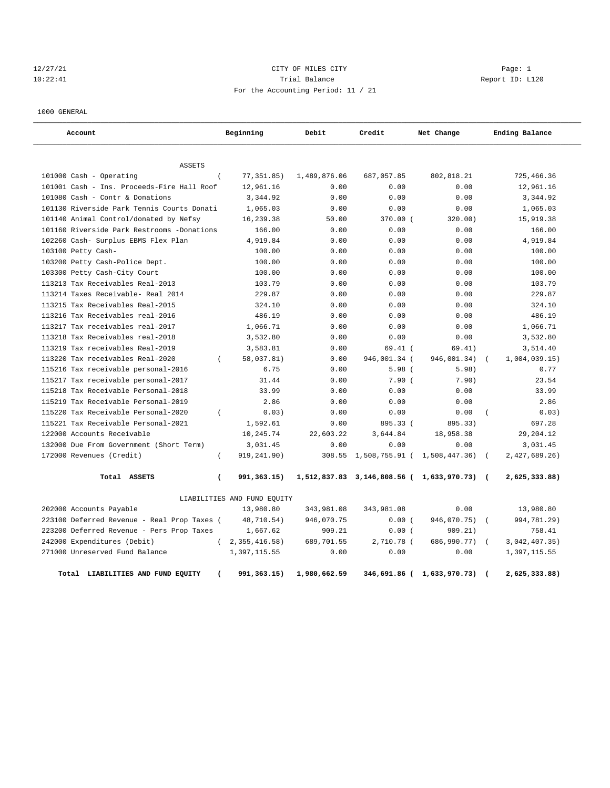12/27/21 CITY OF MILES CITY Page: 1 10:22:41 Trial Balance Report ID: L120 For the Accounting Period: 11 / 21

1000 GENERAL

| Account                                     |                | Beginning                   | Debit        | Credit                                    | Net Change    |            | Ending Balance |
|---------------------------------------------|----------------|-----------------------------|--------------|-------------------------------------------|---------------|------------|----------------|
| ASSETS                                      |                |                             |              |                                           |               |            |                |
| $101000$ Cash - Operating                   | $\left($       | 77, 351.85)                 | 1,489,876.06 | 687,057.85                                | 802,818.21    |            | 725,466.36     |
| 101001 Cash - Ins. Proceeds-Fire Hall Roof  |                | 12,961.16                   | 0.00         | 0.00                                      | 0.00          |            | 12,961.16      |
| 101080 Cash - Contr & Donations             |                | 3,344.92                    | 0.00         | 0.00                                      | 0.00          |            | 3,344.92       |
| 101130 Riverside Park Tennis Courts Donati  |                | 1,065.03                    | 0.00         | 0.00                                      | 0.00          |            | 1,065.03       |
| 101140 Animal Control/donated by Nefsy      |                | 16,239.38                   | 50.00        | 370.00 (                                  | 320.00)       |            | 15,919.38      |
| 101160 Riverside Park Restrooms -Donations  |                | 166.00                      | 0.00         | 0.00                                      | 0.00          |            | 166.00         |
| 102260 Cash- Surplus EBMS Flex Plan         |                | 4,919.84                    | 0.00         | 0.00                                      | 0.00          |            | 4,919.84       |
| 103100 Petty Cash-                          |                | 100.00                      | 0.00         | 0.00                                      | 0.00          |            | 100.00         |
| 103200 Petty Cash-Police Dept.              |                | 100.00                      | 0.00         | 0.00                                      | 0.00          |            | 100.00         |
| 103300 Petty Cash-City Court                |                | 100.00                      | 0.00         | 0.00                                      | 0.00          |            | 100.00         |
| 113213 Tax Receivables Real-2013            |                | 103.79                      | 0.00         | 0.00                                      | 0.00          |            | 103.79         |
| 113214 Taxes Receivable- Real 2014          |                | 229.87                      | 0.00         | 0.00                                      | 0.00          |            | 229.87         |
| 113215 Tax Receivables Real-2015            |                | 324.10                      | 0.00         | 0.00                                      | 0.00          |            | 324.10         |
| 113216 Tax Receivables real-2016            |                | 486.19                      | 0.00         | 0.00                                      | 0.00          |            | 486.19         |
| 113217 Tax receivables real-2017            |                | 1,066.71                    | 0.00         | 0.00                                      | 0.00          |            | 1,066.71       |
| 113218 Tax Receivables real-2018            |                | 3,532.80                    | 0.00         | 0.00                                      | 0.00          |            | 3,532.80       |
| 113219 Tax receivables Real-2019            |                | 3,583.81                    | 0.00         | $69.41$ (                                 | 69.41)        |            | 3,514.40       |
| 113220 Tax receivables Real-2020            | $\left($       | 58,037.81)                  | 0.00         | 946,001.34 (                              | 946,001.34)   |            | 1,004,039.15   |
| 115216 Tax receivable personal-2016         |                | 6.75                        | 0.00         | 5.98(                                     | 5.98)         |            | 0.77           |
| 115217 Tax receivable personal-2017         |                | 31.44                       | 0.00         | 7.90(                                     | 7.90)         |            | 23.54          |
| 115218 Tax Receivable Personal-2018         |                | 33.99                       | 0.00         | 0.00                                      | 0.00          |            | 33.99          |
| 115219 Tax Receivable Personal-2019         |                | 2.86                        | 0.00         | 0.00                                      | 0.00          |            | 2.86           |
| 115220 Tax Receivable Personal-2020         | $\left($       | 0.03)                       | 0.00         | 0.00                                      | 0.00          | $\left($   | 0.03)          |
| 115221 Tax Receivable Personal-2021         |                | 1,592.61                    | 0.00         | 895.33 (                                  | 895.33)       |            | 697.28         |
| 122000 Accounts Receivable                  |                | 10,245.74                   | 22,603.22    | 3,644.84                                  | 18,958.38     |            | 29,204.12      |
| 132000 Due From Government (Short Term)     |                | 3,031.45                    | 0.00         | 0.00                                      | 0.00          |            | 3,031.45       |
| 172000 Revenues (Credit)                    | $\overline{ }$ | 919, 241.90)                | 308.55       | 1,508,755.91 (                            | 1,508,447.36) | $\sqrt{ }$ | 2,427,689.26)  |
| Total ASSETS                                | $\epsilon$     | 991,363.15)                 |              | 1,512,837.83 3,146,808.56 ( 1,633,970.73) |               | $\sqrt{2}$ | 2,625,333.88)  |
|                                             |                | LIABILITIES AND FUND EQUITY |              |                                           |               |            |                |
| 202000 Accounts Payable                     |                | 13,980.80                   | 343,981.08   | 343,981.08                                | 0.00          |            | 13,980.80      |
| 223100 Deferred Revenue - Real Prop Taxes ( |                | 48,710.54)                  | 946,070.75   | 0.00(                                     | 946,070.75)   | $\sqrt{2}$ | 994,781.29)    |
| 223200 Deferred Revenue - Pers Prop Taxes   |                | 1,667.62                    | 909.21       | 0.00(                                     | 909.21)       |            | 758.41         |
| 242000 Expenditures (Debit)                 | $\left($       | 2, 355, 416.58)             | 689,701.55   | 2,710.78 (                                | 686,990.77)   | $\left($   | 3,042,407.35   |
| 271000 Unreserved Fund Balance              |                | 1,397,115.55                | 0.00         | 0.00                                      | 0.00          |            | 1,397,115.55   |
| Total LIABILITIES AND FUND EOUITY           | $\epsilon$     | 991, 363, 15)               | 1,980,662.59 | 346,691.86 (                              | 1,633,970.73) | $\sqrt{ }$ | 2,625,333.88)  |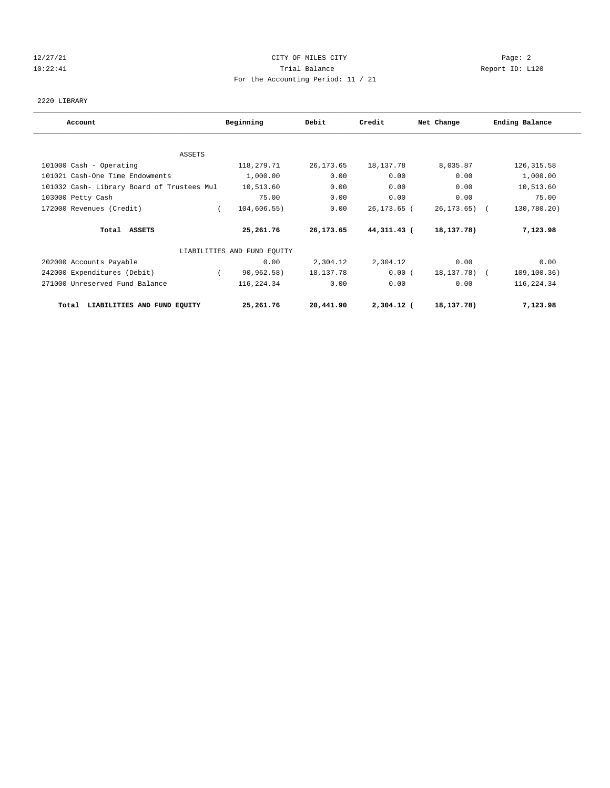## 12/27/21 CITY OF MILES CITY Page: 2 10:22:41 Trial Balance Report ID: L120 For the Accounting Period: 11 / 21

2220 LIBRARY

| Account                                    | Beginning                   | Debit     | Credit       | Net Change   | Ending Balance |
|--------------------------------------------|-----------------------------|-----------|--------------|--------------|----------------|
|                                            |                             |           |              |              |                |
| ASSETS                                     |                             |           |              |              |                |
| 101000 Cash - Operating                    | 118,279.71                  | 26,173.65 | 18,137.78    | 8,035.87     | 126, 315.58    |
| 101021 Cash-One Time Endowments            | 1,000.00                    | 0.00      | 0.00         | 0.00         | 1,000.00       |
| 101032 Cash- Library Board of Trustees Mul | 10,513.60                   | 0.00      | 0.00         | 0.00         | 10,513.60      |
| 103000 Petty Cash                          | 75.00                       | 0.00      | 0.00         | 0.00         | 75.00          |
| 172000 Revenues (Credit)                   | 104,606.55)                 | 0.00      | 26,173.65 (  | 26,173.65) ( | 130,780.20)    |
| Total ASSETS                               | 25,261.76                   | 26,173.65 | 44,311.43 (  | 18, 137. 78) | 7,123.98       |
|                                            | LIABILITIES AND FUND EQUITY |           |              |              |                |
| 202000 Accounts Payable                    | 0.00                        | 2,304.12  | 2,304.12     | 0.00         | 0.00           |
| 242000 Expenditures (Debit)                | 90,962.58)                  | 18,137.78 | 0.00(        | 18,137.78) ( | 109,100.36)    |
| 271000 Unreserved Fund Balance             | 116,224.34                  | 0.00      | 0.00         | 0.00         | 116,224.34     |
| LIABILITIES AND FUND EQUITY<br>Total       | 25,261.76                   | 20,441.90 | $2,304.12$ ( | 18, 137. 78) | 7,123.98       |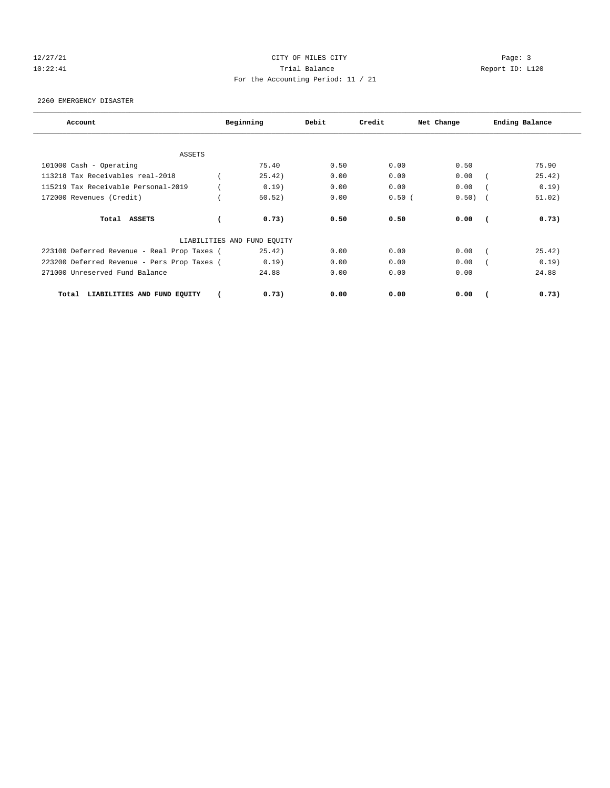## 12/27/21 Page: 3 Page: 3 Page: 3 10:22:41 Trial Balance Report ID: L120 For the Accounting Period: 11 / 21

2260 EMERGENCY DISASTER

| Account                                     | Beginning                   | Debit | Credit | Net Change | Ending Balance |
|---------------------------------------------|-----------------------------|-------|--------|------------|----------------|
|                                             |                             |       |        |            |                |
| <b>ASSETS</b>                               |                             |       |        |            |                |
| 101000 Cash - Operating                     | 75.40                       | 0.50  | 0.00   | 0.50       | 75.90          |
| 113218 Tax Receivables real-2018            | 25.42)                      | 0.00  | 0.00   | 0.00       | 25.42)         |
| 115219 Tax Receivable Personal-2019         | 0.19)                       | 0.00  | 0.00   | 0.00       | 0.19)          |
| 172000 Revenues (Credit)                    | 50.52)                      | 0.00  | 0.50(  | 0.50)      | 51.02)         |
| Total<br><b>ASSETS</b>                      | 0.73)                       | 0.50  | 0.50   | 0.00       | 0.73)          |
|                                             | LIABILITIES AND FUND EQUITY |       |        |            |                |
| 223100 Deferred Revenue - Real Prop Taxes ( | 25.42)                      | 0.00  | 0.00   | 0.00       | 25.42)         |
| 223200 Deferred Revenue - Pers Prop Taxes ( | 0.19)                       | 0.00  | 0.00   | 0.00       | 0.19)          |
| 271000 Unreserved Fund Balance              | 24.88                       | 0.00  | 0.00   | 0.00       | 24.88          |
| LIABILITIES AND FUND EQUITY<br>Total        | 0.73)                       | 0.00  | 0.00   | 0.00       | 0.73)          |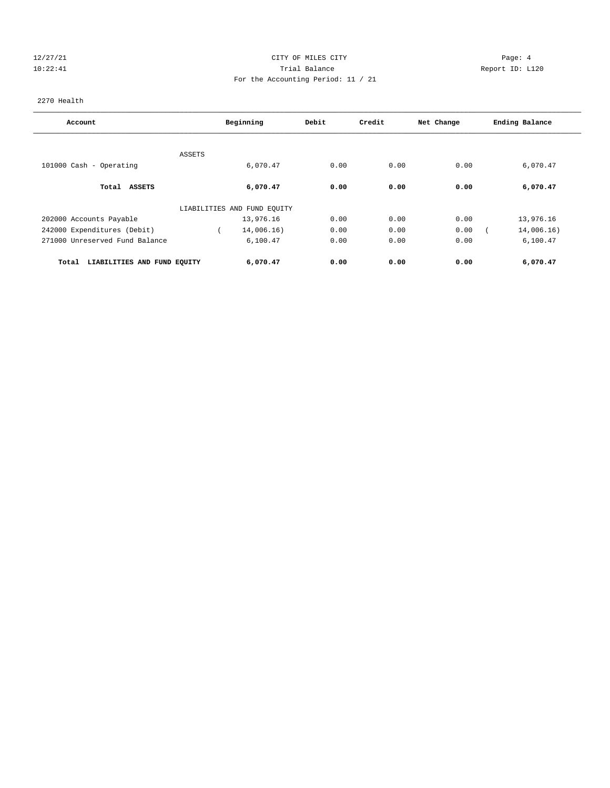## 12/27/21 Page: 4 10:22:41 Trial Balance Report ID: L120 For the Accounting Period: 11 / 21

## 2270 Health

| Account                              |               | Beginning                   | Debit | Credit | Net Change | Ending Balance |
|--------------------------------------|---------------|-----------------------------|-------|--------|------------|----------------|
|                                      |               |                             |       |        |            |                |
| 101000 Cash - Operating              | <b>ASSETS</b> | 6,070.47                    | 0.00  | 0.00   | 0.00       | 6,070.47       |
|                                      |               |                             |       |        |            |                |
| Total<br><b>ASSETS</b>               |               | 6,070.47                    | 0.00  | 0.00   | 0.00       | 6,070.47       |
|                                      |               | LIABILITIES AND FUND EQUITY |       |        |            |                |
| 202000 Accounts Payable              |               | 13,976.16                   | 0.00  | 0.00   | 0.00       | 13,976.16      |
| 242000 Expenditures (Debit)          |               | 14,006.16)                  | 0.00  | 0.00   | 0.00       | 14,006.16)     |
| 271000 Unreserved Fund Balance       |               | 6,100.47                    | 0.00  | 0.00   | 0.00       | 6,100.47       |
| LIABILITIES AND FUND EQUITY<br>Total |               | 6,070.47                    | 0.00  | 0.00   | 0.00       | 6,070.47       |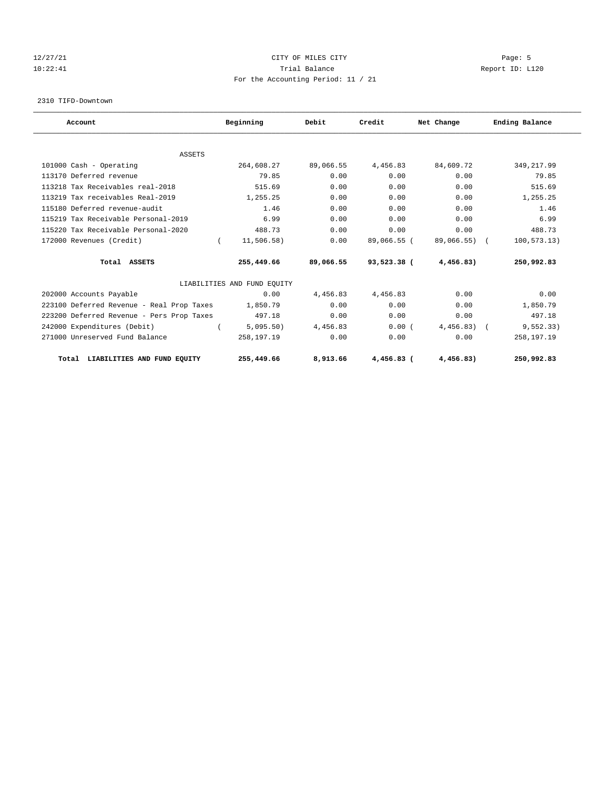## 12/27/21 CITY OF MILES CITY Page: 5 10:22:41 Trial Balance Report ID: L120 For the Accounting Period: 11 / 21

2310 TIFD-Downtown

| Account                                   | Beginning                   |            | Debit     | Credit       | Net Change | Ending Balance |
|-------------------------------------------|-----------------------------|------------|-----------|--------------|------------|----------------|
| <b>ASSETS</b>                             |                             |            |           |              |            |                |
| 101000 Cash - Operating                   |                             | 264,608.27 | 89,066.55 | 4,456.83     | 84,609.72  | 349, 217.99    |
| 113170 Deferred revenue                   |                             | 79.85      | 0.00      | 0.00         | 0.00       | 79.85          |
| 113218 Tax Receivables real-2018          |                             | 515.69     | 0.00      | 0.00         | 0.00       | 515.69         |
| 113219 Tax receivables Real-2019          |                             | 1,255.25   | 0.00      | 0.00         | 0.00       | 1,255.25       |
| 115180 Deferred revenue-audit             |                             | 1.46       | 0.00      | 0.00         | 0.00       | 1.46           |
| 115219 Tax Receivable Personal-2019       |                             | 6.99       | 0.00      | 0.00         | 0.00       | 6.99           |
| 115220 Tax Receivable Personal-2020       |                             | 488.73     | 0.00      | 0.00         | 0.00       | 488.73         |
| 172000 Revenues (Credit)                  |                             | 11,506.58) | 0.00      | 89,066.55 (  | 89,066.55) | 100, 573.13)   |
| Total ASSETS                              |                             | 255,449.66 | 89,066.55 | 93,523.38 (  | 4,456.83)  | 250,992.83     |
|                                           | LIABILITIES AND FUND EQUITY |            |           |              |            |                |
| 202000 Accounts Payable                   |                             | 0.00       | 4,456.83  | 4,456.83     | 0.00       | 0.00           |
| 223100 Deferred Revenue - Real Prop Taxes |                             | 1,850.79   | 0.00      | 0.00         | 0.00       | 1,850.79       |
| 223200 Deferred Revenue - Pers Prop Taxes |                             | 497.18     | 0.00      | 0.00         | 0.00       | 497.18         |
| 242000 Expenditures (Debit)               |                             | 5,095.50)  | 4,456.83  | 0.00(        | 4,456.83)  | 9, 552.33)     |
| 271000 Unreserved Fund Balance            |                             | 258,197.19 | 0.00      | 0.00         | 0.00       | 258,197.19     |
| Total LIABILITIES AND FUND EOUITY         |                             | 255,449.66 | 8,913.66  | $4,456.83$ ( | 4,456.83)  | 250,992.83     |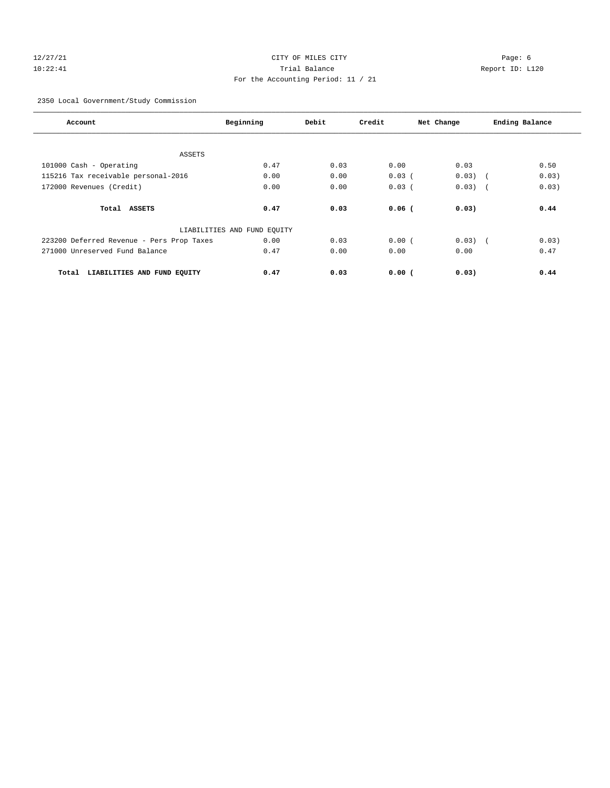## 12/27/21 Page: 6 Page: 6 Page: 6 Page: 6 Page: 6 Page: 6 Page: 6 Page: 6 Page: 6 Page: 6 Page: 6 Page: 6 Page: 6 Page: 6 Page: 6 Page: 6 Page: 6 Page: 6 Page: 6 Page: 6 Page: 6 Page: 6 Page: 6 Page: 6 Page: 6 Page: 6 Page: 10:22:41 Trial Balance Report ID: L120 For the Accounting Period: 11 / 21

2350 Local Government/Study Commission

| Account                                   | Beginning                   | Debit | Credit   | Net Change          | Ending Balance |
|-------------------------------------------|-----------------------------|-------|----------|---------------------|----------------|
|                                           |                             |       |          |                     |                |
| <b>ASSETS</b>                             |                             |       |          |                     |                |
| 101000 Cash - Operating                   | 0.47                        | 0.03  | 0.00     | 0.03                | 0.50           |
| 115216 Tax receivable personal-2016       | 0.00                        | 0.00  | $0.03$ ( | $0.03)$ (           | 0.03)          |
| 172000 Revenues (Credit)                  | 0.00                        | 0.00  | 0.03(    | 0.03)<br>$\sqrt{2}$ | 0.03)          |
| Total ASSETS                              | 0.47                        | 0.03  | $0.06$ ( | 0.03)               | 0.44           |
|                                           | LIABILITIES AND FUND EQUITY |       |          |                     |                |
| 223200 Deferred Revenue - Pers Prop Taxes | 0.00                        | 0.03  | 0.00(    | $0.03)$ (           | 0.03)          |
| 271000 Unreserved Fund Balance            | 0.47                        | 0.00  | 0.00     | 0.00                | 0.47           |
| Total<br>LIABILITIES AND FUND EQUITY      | 0.47                        | 0.03  | 0.00(    | 0.03)               | 0.44           |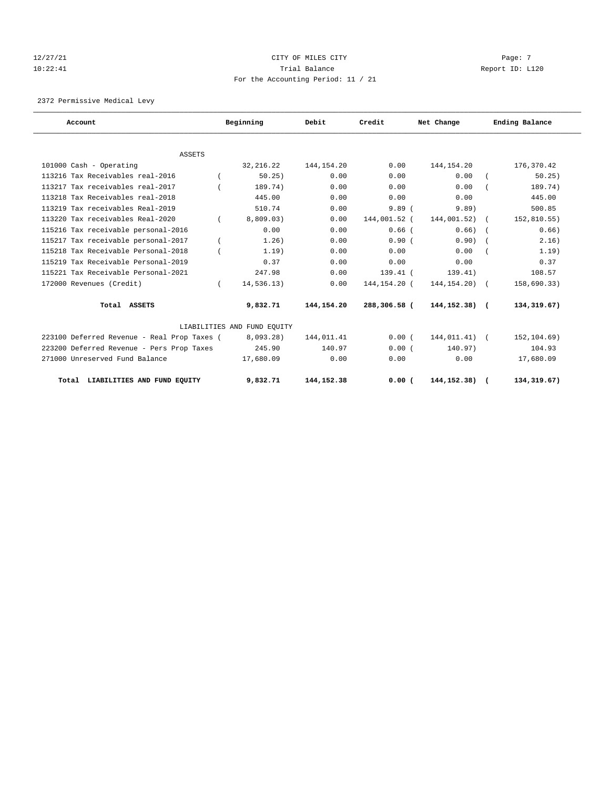## 12/27/21 Page: 7 Page: 7 Page: 7 Page: 7 Page: 7 Page: 7 Page: 7 Page: 7 Page: 7 Page: 7 Page: 7 Page: 7 Page: 7 Page: 7 Page: 7 Page: 7 Page: 7 Page: 7 Page: 7 Page: 7 Page: 7 Page: 7 Page: 7 Page: 7 Page: 7 Page: 7 Page: 10:22:41 Trial Balance Report ID: L120 For the Accounting Period: 11 / 21

2372 Permissive Medical Levy

| Account                                     |          | Beginning                   | Debit        | Credit       | Net Change         |            | Ending Balance |
|---------------------------------------------|----------|-----------------------------|--------------|--------------|--------------------|------------|----------------|
|                                             |          |                             |              |              |                    |            |                |
| <b>ASSETS</b>                               |          |                             |              |              |                    |            |                |
| 101000 Cash - Operating                     |          | 32, 216.22                  | 144, 154. 20 | 0.00         | 144,154.20         |            | 176,370.42     |
| 113216 Tax Receivables real-2016            |          | 50.25                       | 0.00         | 0.00         | 0.00               |            | 50.25)         |
| 113217 Tax receivables real-2017            |          | 189.74)                     | 0.00         | 0.00         | 0.00               |            | 189.74)        |
| 113218 Tax Receivables real-2018            |          | 445.00                      | 0.00         | 0.00         | 0.00               |            | 445.00         |
| 113219 Tax receivables Real-2019            |          | 510.74                      | 0.00         | 9.89(        | 9.89               |            | 500.85         |
| 113220 Tax receivables Real-2020            |          | 8,809.03)                   | 0.00         | 144,001.52 ( | 144,001.52)        |            | 152,810.55)    |
| 115216 Tax receivable personal-2016         |          | 0.00                        | 0.00         | $0.66$ (     | 0.66)              |            | 0.66)          |
| 115217 Tax receivable personal-2017         | $\left($ | 1.26)                       | 0.00         | 0.90(        | 0.90)              |            | 2.16)          |
| 115218 Tax Receivable Personal-2018         |          | 1.19)                       | 0.00         | 0.00         | 0.00               |            | 1.19)          |
| 115219 Tax Receivable Personal-2019         |          | 0.37                        | 0.00         | 0.00         | 0.00               |            | 0.37           |
| 115221 Tax Receivable Personal-2021         |          | 247.98                      | 0.00         | $139.41$ (   | 139.41)            |            | 108.57         |
| 172000 Revenues (Credit)                    |          | 14,536.13)                  | 0.00         | 144,154.20 ( | $144, 154, 20$ (   |            | 158,690.33)    |
| Total ASSETS                                |          | 9,832.71                    | 144, 154, 20 | 288,306.58 ( | $144, 152, 38$ ) ( |            | 134,319.67)    |
|                                             |          | LIABILITIES AND FUND EQUITY |              |              |                    |            |                |
| 223100 Deferred Revenue - Real Prop Taxes ( |          | 8,093.28)                   | 144,011.41   | 0.00(        | 144,011.41)        | $\sqrt{2}$ | 152,104.69)    |
| 223200 Deferred Revenue - Pers Prop Taxes   |          | 245.90                      | 140.97       | 0.00(        | 140.97)            |            | 104.93         |
| 271000 Unreserved Fund Balance              |          | 17,680.09                   | 0.00         | 0.00         | 0.00               |            | 17,680.09      |
| Total LIABILITIES AND FUND EQUITY           |          | 9,832.71                    | 144, 152.38  | 0.00(        | 144, 152. 38)      |            | 134,319.67)    |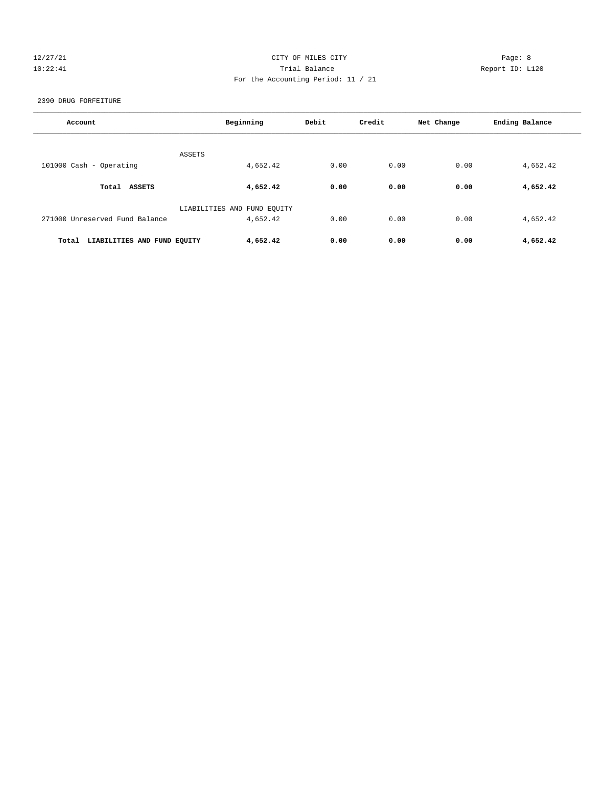## 12/27/21 Page: 8 Page: 8 10:22:41 Trial Balance Report ID: L120 For the Accounting Period: 11 / 21

2390 DRUG FORFEITURE

| Account                              | Beginning                   | Debit | Credit | Net Change | Ending Balance |
|--------------------------------------|-----------------------------|-------|--------|------------|----------------|
|                                      | ASSETS                      |       |        |            |                |
| 101000 Cash - Operating              | 4,652.42                    | 0.00  | 0.00   | 0.00       | 4,652.42       |
| Total ASSETS                         | 4,652.42                    | 0.00  | 0.00   | 0.00       | 4,652.42       |
|                                      | LIABILITIES AND FUND EQUITY |       |        |            |                |
| 271000 Unreserved Fund Balance       | 4,652.42                    | 0.00  | 0.00   | 0.00       | 4,652.42       |
| LIABILITIES AND FUND EQUITY<br>Total | 4,652.42                    | 0.00  | 0.00   | 0.00       | 4,652.42       |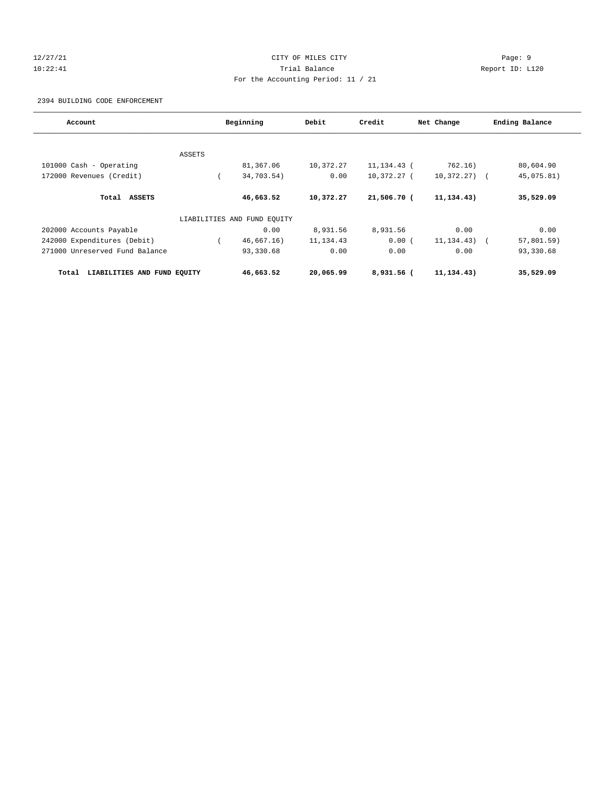## 12/27/21 Page: 9 10:22:41 Trial Balance Report ID: L120 For the Accounting Period: 11 / 21

2394 BUILDING CODE ENFORCEMENT

| Account                              |        | Beginning                   | Debit      | Credit        | Net Change       | Ending Balance |
|--------------------------------------|--------|-----------------------------|------------|---------------|------------------|----------------|
|                                      |        |                             |            |               |                  |                |
|                                      | ASSETS |                             |            |               |                  |                |
| 101000 Cash - Operating              |        | 81,367.06                   | 10,372.27  | 11, 134. 43 ( | 762.16)          | 80,604.90      |
| 172000 Revenues (Credit)             |        | 34,703.54)                  | 0.00       | 10,372.27 (   | $10,372.27$ ) (  | 45,075.81)     |
| Total<br><b>ASSETS</b>               |        | 46,663.52                   | 10,372.27  | 21,506.70 (   | 11, 134. 43)     | 35,529.09      |
|                                      |        | LIABILITIES AND FUND EQUITY |            |               |                  |                |
| 202000 Accounts Payable              |        | 0.00                        | 8,931.56   | 8,931.56      | 0.00             | 0.00           |
| 242000 Expenditures (Debit)          |        | 46,667.16)                  | 11, 134.43 | 0.00(         | $11, 134, 43)$ ( | 57,801.59)     |
| 271000 Unreserved Fund Balance       |        | 93,330.68                   | 0.00       | 0.00          | 0.00             | 93,330.68      |
| LIABILITIES AND FUND EOUITY<br>Total |        | 46,663.52                   | 20,065.99  | $8,931.56$ (  | 11, 134. 43)     | 35,529.09      |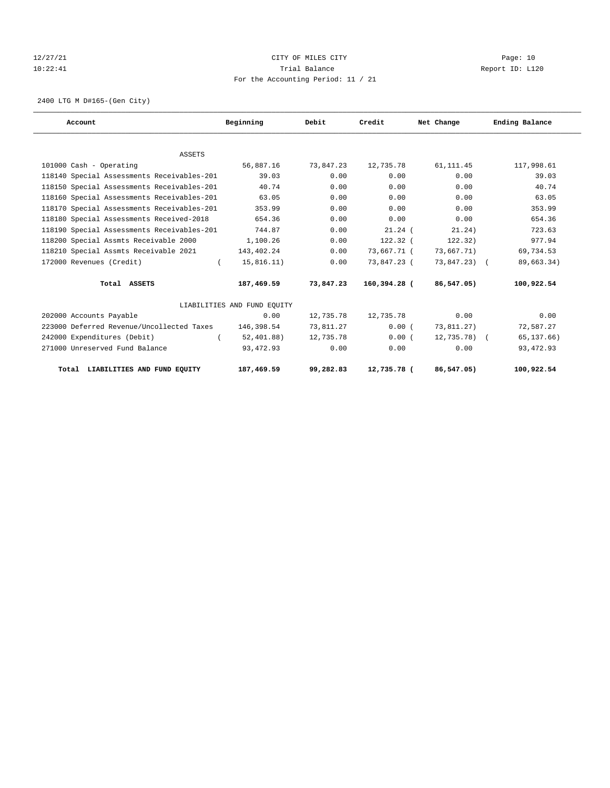## 12/27/21 CITY OF MILES CITY Page: 10 10:22:41 Trial Balance Report ID: L120 For the Accounting Period: 11 / 21

2400 LTG M D#165-(Gen City)

| Account                                    | Beginning                   | Debit     | Credit       | Net Change    | Ending Balance |
|--------------------------------------------|-----------------------------|-----------|--------------|---------------|----------------|
|                                            |                             |           |              |               |                |
| <b>ASSETS</b>                              |                             |           |              |               |                |
| 101000 Cash - Operating                    | 56,887.16                   | 73,847.23 | 12,735.78    | 61, 111.45    | 117,998.61     |
| 118140 Special Assessments Receivables-201 | 39.03                       | 0.00      | 0.00         | 0.00          | 39.03          |
| 118150 Special Assessments Receivables-201 | 40.74                       | 0.00      | 0.00         | 0.00          | 40.74          |
| 118160 Special Assessments Receivables-201 | 63.05                       | 0.00      | 0.00         | 0.00          | 63.05          |
| 118170 Special Assessments Receivables-201 | 353.99                      | 0.00      | 0.00         | 0.00          | 353.99         |
| 118180 Special Assessments Received-2018   | 654.36                      | 0.00      | 0.00         | 0.00          | 654.36         |
| 118190 Special Assessments Receivables-201 | 744.87                      | 0.00      | $21.24$ (    | 21.24)        | 723.63         |
| 118200 Special Assmts Receivable 2000      | 1,100.26                    | 0.00      | $122.32$ (   | 122.32)       | 977.94         |
| 118210 Special Assmts Receivable 2021      | 143,402.24                  | 0.00      | 73,667.71 (  | 73,667.71)    | 69,734.53      |
| 172000 Revenues (Credit)<br>$\left($       | 15, 816.11)                 | 0.00      | 73,847.23 (  | 73,847.23) (  | 89,663.34)     |
| Total ASSETS                               | 187,469.59                  | 73,847.23 | 160,394.28 ( | 86,547.05)    | 100,922.54     |
|                                            | LIABILITIES AND FUND EOUITY |           |              |               |                |
| 202000 Accounts Payable                    | 0.00                        | 12,735.78 | 12,735.78    | 0.00          | 0.00           |
| 223000 Deferred Revenue/Uncollected Taxes  | 146,398.54                  | 73,811.27 | 0.00(        | 73,811.27)    | 72,587.27      |
| 242000 Expenditures (Debit)                | 52,401.88)<br>$\left($      | 12,735.78 | 0.00(        | $12,735.78$ ( | 65, 137.66)    |
| 271000 Unreserved Fund Balance             | 93, 472.93                  | 0.00      | 0.00         | 0.00          | 93, 472.93     |
| Total LIABILITIES AND FUND EOUITY          | 187,469.59                  | 99,282.83 | 12,735.78 (  | 86,547.05)    | 100,922.54     |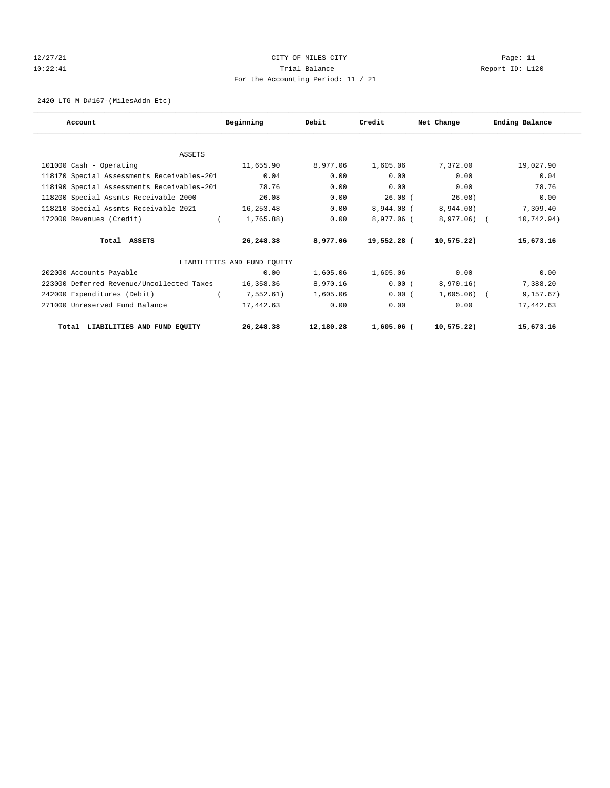## 12/27/21 CITY OF MILES CITY Page: 11 10:22:41 Trial Balance Report ID: L120 For the Accounting Period: 11 / 21

2420 LTG M D#167-(MilesAddn Etc)

| Account                                    | Beginning                   | Debit     | Credit      | Net Change   | Ending Balance |
|--------------------------------------------|-----------------------------|-----------|-------------|--------------|----------------|
|                                            |                             |           |             |              |                |
| <b>ASSETS</b>                              |                             |           |             |              |                |
| 101000 Cash - Operating                    | 11,655.90                   | 8,977.06  | 1,605.06    | 7,372.00     | 19,027.90      |
| 118170 Special Assessments Receivables-201 | 0.04                        | 0.00      | 0.00        | 0.00         | 0.04           |
| 118190 Special Assessments Receivables-201 | 78.76                       | 0.00      | 0.00        | 0.00         | 78.76          |
| 118200 Special Assmts Receivable 2000      | 26.08                       | 0.00      | $26.08$ (   | 26.08)       | 0.00           |
| 118210 Special Assmts Receivable 2021      | 16,253.48                   | 0.00      | 8,944.08 (  | 8,944.08)    | 7,309.40       |
| 172000 Revenues (Credit)                   | 1,765.88)                   | 0.00      | 8,977.06 (  | $8.977.06$ ( | 10,742.94)     |
| Total ASSETS                               | 26,248.38                   | 8,977.06  | 19,552.28 ( | 10, 575, 22) | 15,673.16      |
|                                            | LIABILITIES AND FUND EQUITY |           |             |              |                |
| 202000 Accounts Payable                    | 0.00                        | 1,605.06  | 1,605.06    | 0.00         | 0.00           |
| 223000 Deferred Revenue/Uncollected Taxes  | 16,358.36                   | 8,970.16  | 0.00(       | 8,970.16)    | 7,388.20       |
| 242000 Expenditures (Debit)                | 7,552.61)                   | 1,605.06  | 0.00(       | $1.605.06$ ( | 9, 157.67)     |
| 271000 Unreserved Fund Balance             | 17,442.63                   | 0.00      | 0.00        | 0.00         | 17,442.63      |
| LIABILITIES AND FUND EQUITY<br>Total       | 26,248.38                   | 12,180.28 | 1,605.06 (  | 10,575.22)   | 15,673.16      |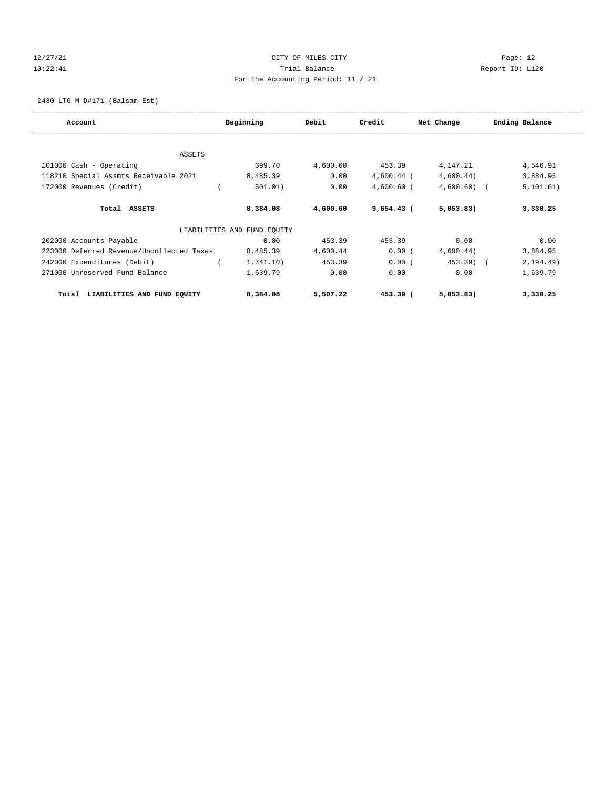## 12/27/21 CITY OF MILES CITY Page: 12 10:22:41 Trial Balance Report ID: L120 For the Accounting Period: 11 / 21

2430 LTG M D#171-(Balsam Est)

| Account                                   | Beginning                   | Debit    | Credit       | Net Change | Ending Balance |
|-------------------------------------------|-----------------------------|----------|--------------|------------|----------------|
|                                           |                             |          |              |            |                |
| <b>ASSETS</b>                             |                             |          |              |            |                |
| 101000 Cash - Operating                   | 399.70                      | 4,600.60 | 453.39       | 4,147.21   | 4,546.91       |
| 118210 Special Assmts Receivable 2021     | 8,485.39                    | 0.00     | 4,600.44 (   | 4,600.44)  | 3,884.95       |
| 172000 Revenues (Credit)                  | 501.01)                     | 0.00     | $4,600.60$ ( | 4,600.60)  | 5, 101.61)     |
| Total ASSETS                              | 8,384.08                    | 4,600.60 | $9,654.43$ ( | 5,053.83)  | 3,330.25       |
|                                           | LIABILITIES AND FUND EQUITY |          |              |            |                |
| 202000 Accounts Payable                   | 0.00                        | 453.39   | 453.39       | 0.00       | 0.00           |
| 223000 Deferred Revenue/Uncollected Taxes | 8,485.39                    | 4,600.44 | 0.00(        | 4,600.44)  | 3,884.95       |
| 242000 Expenditures (Debit)               | 1,741.10)                   | 453.39   | 0.00(        | 453.39) (  | 2, 194.49)     |
| 271000 Unreserved Fund Balance            | 1,639.79                    | 0.00     | 0.00         | 0.00       | 1,639.79       |
| LIABILITIES AND FUND EQUITY<br>Total      | 8,384.08                    | 5,507.22 | 453.39 (     | 5,053.83)  | 3,330.25       |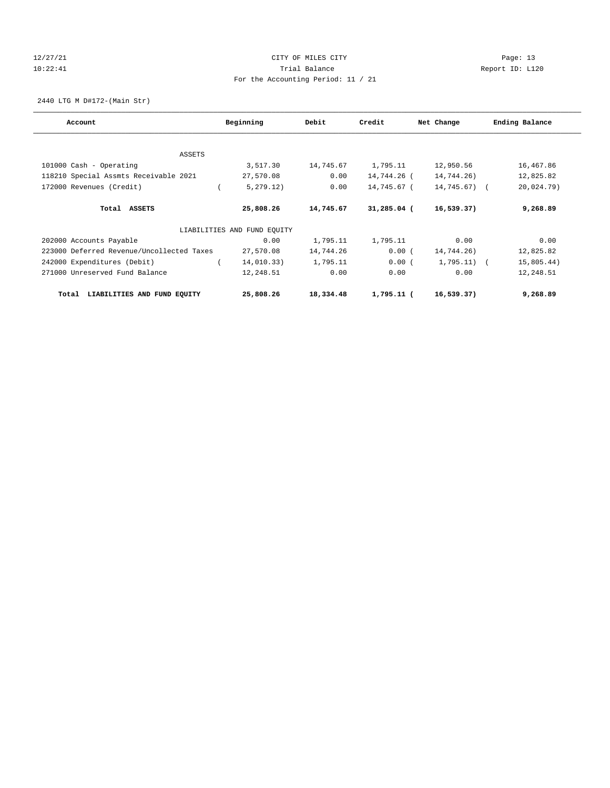## 12/27/21 CITY OF MILES CITY Page: 13 10:22:41 Trial Balance Report ID: L120 For the Accounting Period: 11 / 21

2440 LTG M D#172-(Main Str)

| Account                                   | Beginning                   | Debit     | Credit        | Net Change    | Ending Balance |
|-------------------------------------------|-----------------------------|-----------|---------------|---------------|----------------|
|                                           |                             |           |               |               |                |
| <b>ASSETS</b>                             |                             |           |               |               |                |
| 101000 Cash - Operating                   | 3,517.30                    | 14,745.67 | 1,795.11      | 12,950.56     | 16,467.86      |
| 118210 Special Assmts Receivable 2021     | 27,570.08                   | 0.00      | 14,744.26 (   | 14,744.26)    | 12,825.82      |
| 172000 Revenues (Credit)                  | 5, 279.12)                  | 0.00      | 14,745.67 (   | $14,745.67$ ( | 20,024.79)     |
| Total ASSETS                              | 25,808.26                   | 14,745.67 | $31,285.04$ ( | 16, 539.37)   | 9,268.89       |
|                                           | LIABILITIES AND FUND EQUITY |           |               |               |                |
| 202000 Accounts Payable                   | 0.00                        | 1,795.11  | 1,795.11      | 0.00          | 0.00           |
| 223000 Deferred Revenue/Uncollected Taxes | 27,570.08                   | 14,744.26 | 0.00(         | 14,744.26)    | 12,825.82      |
| 242000 Expenditures (Debit)               | 14,010.33)                  | 1,795.11  | 0.00(         | $1,795.11)$ ( | 15,805.44)     |
| 271000 Unreserved Fund Balance            | 12,248.51                   | 0.00      | 0.00          | 0.00          | 12,248.51      |
| LIABILITIES AND FUND EQUITY<br>Total      | 25,808.26                   | 18,334.48 | 1,795.11 (    | 16,539.37)    | 9,268.89       |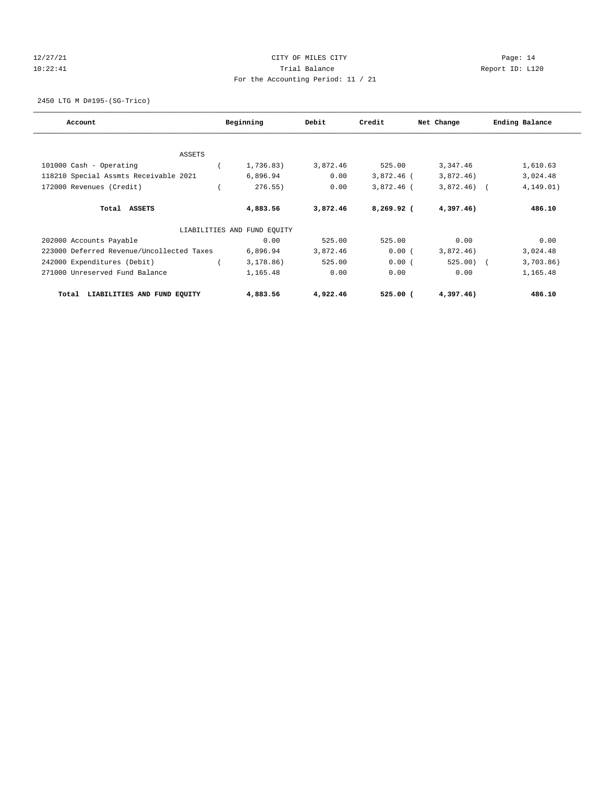## 12/27/21 CITY OF MILES CITY Page: 14 10:22:41 Trial Balance Report ID: L120 For the Accounting Period: 11 / 21

2450 LTG M D#195-(SG-Trico)

| Account                                   | Beginning                   | Debit    | Credit       | Net Change   | Ending Balance |      |
|-------------------------------------------|-----------------------------|----------|--------------|--------------|----------------|------|
|                                           |                             |          |              |              |                |      |
| <b>ASSETS</b>                             |                             |          |              |              |                |      |
| 101000 Cash - Operating                   | 1,736.83)                   | 3,872.46 | 525.00       | 3,347.46     | 1,610.63       |      |
| 118210 Special Assmts Receivable 2021     | 6,896.94                    | 0.00     | 3,872.46 (   | 3,872.46)    | 3,024.48       |      |
| 172000 Revenues (Credit)                  | 276.55)                     | 0.00     | 3,872.46 (   | $3,872.46$ ( | 4, 149.01)     |      |
| Total ASSETS                              | 4,883.56                    | 3,872.46 | $8,269.92$ ( | 4,397.46)    | 486.10         |      |
|                                           | LIABILITIES AND FUND EQUITY |          |              |              |                |      |
| 202000 Accounts Payable                   | 0.00                        | 525.00   | 525.00       | 0.00         |                | 0.00 |
| 223000 Deferred Revenue/Uncollected Taxes | 6,896.94                    | 3,872.46 | 0.00(        | 3,872.46)    | 3,024.48       |      |
| 242000 Expenditures (Debit)               | 3,178.86)                   | 525.00   | 0.00(        | $525.00$ (   | 3,703.86)      |      |
| 271000 Unreserved Fund Balance            | 1,165.48                    | 0.00     | 0.00         | 0.00         | 1,165.48       |      |
| LIABILITIES AND FUND EQUITY<br>Total      | 4,883.56                    | 4,922.46 | $525.00$ (   | 4,397.46)    | 486.10         |      |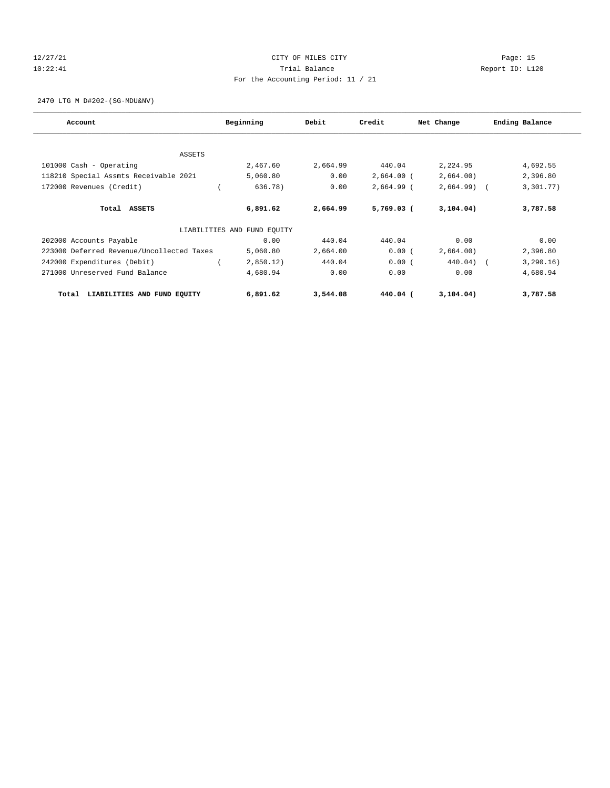## 12/27/21 CITY OF MILES CITY Page: 15 10:22:41 Trial Balance Report ID: L120 For the Accounting Period: 11 / 21

2470 LTG M D#202-(SG-MDU&NV)

| Account                                   | Beginning                   | Debit    | Credit       | Net Change   | Ending Balance |
|-------------------------------------------|-----------------------------|----------|--------------|--------------|----------------|
|                                           |                             |          |              |              |                |
| <b>ASSETS</b>                             |                             |          |              |              |                |
| 101000 Cash - Operating                   | 2,467.60                    | 2,664.99 | 440.04       | 2,224.95     | 4,692.55       |
| 118210 Special Assmts Receivable 2021     | 5,060.80                    | 0.00     | $2,664.00$ ( | 2,664.00)    | 2,396.80       |
| 172000 Revenues (Credit)                  | 636.78)                     | 0.00     | $2,664.99$ ( | $2,664.99$ ( | 3,301.77)      |
| Total ASSETS                              | 6,891.62                    | 2,664.99 | $5,769.03$ ( | 3,104.04)    | 3,787.58       |
|                                           | LIABILITIES AND FUND EQUITY |          |              |              |                |
| 202000 Accounts Payable                   | 0.00                        | 440.04   | 440.04       | 0.00         | 0.00           |
| 223000 Deferred Revenue/Uncollected Taxes | 5,060.80                    | 2,664.00 | 0.00(        | 2,664.00)    | 2,396.80       |
| 242000 Expenditures (Debit)               | 2,850.12)                   | 440.04   | 0.00(        | $440.04)$ (  | 3,290.16)      |
| 271000 Unreserved Fund Balance            | 4,680.94                    | 0.00     | 0.00         | 0.00         | 4,680.94       |
| LIABILITIES AND FUND EQUITY<br>Total      | 6,891.62                    | 3,544.08 | 440.04 (     | 3,104.04)    | 3,787.58       |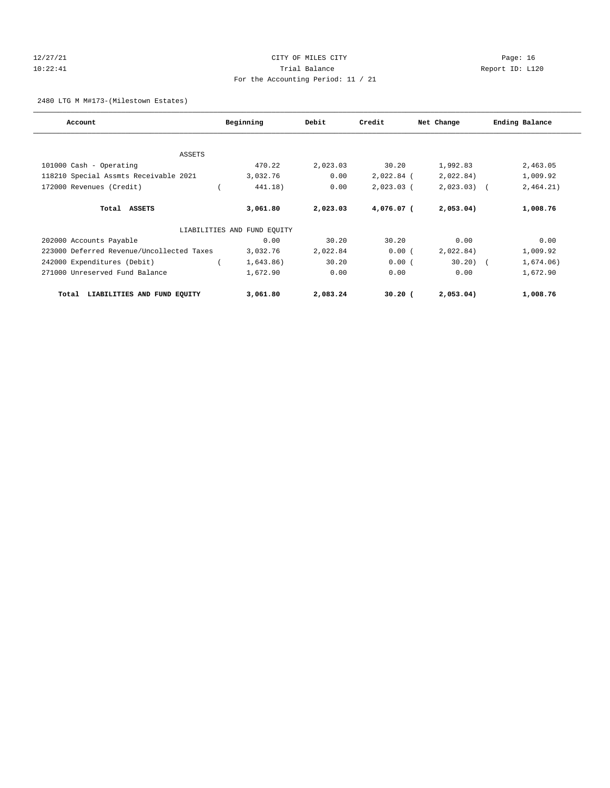## 12/27/21 CITY OF MILES CITY Page: 16 10:22:41 Trial Balance Report ID: L120 For the Accounting Period: 11 / 21

#### 2480 LTG M M#173-(Milestown Estates)

| Account                                   |  | Beginning                   | Debit    | Credit       | Net Change   | Ending Balance |  |
|-------------------------------------------|--|-----------------------------|----------|--------------|--------------|----------------|--|
|                                           |  |                             |          |              |              |                |  |
| <b>ASSETS</b>                             |  |                             |          |              |              |                |  |
| 101000 Cash - Operating                   |  | 470.22                      | 2,023.03 | 30.20        | 1,992.83     | 2,463.05       |  |
| 118210 Special Assmts Receivable 2021     |  | 3,032.76                    | 0.00     | $2,022.84$ ( | 2,022.84)    | 1,009.92       |  |
| 172000 Revenues (Credit)                  |  | 441.18)                     | 0.00     | $2,023.03$ ( | $2,023.03$ ( | 2,464.21)      |  |
| Total ASSETS                              |  | 3,061.80                    | 2,023.03 | 4,076.07 (   | 2,053.04)    | 1,008.76       |  |
|                                           |  | LIABILITIES AND FUND EQUITY |          |              |              |                |  |
| 202000 Accounts Payable                   |  | 0.00                        | 30.20    | 30.20        | 0.00         | 0.00           |  |
| 223000 Deferred Revenue/Uncollected Taxes |  | 3,032.76                    | 2,022.84 | 0.00(        | 2,022.84)    | 1,009.92       |  |
| 242000 Expenditures (Debit)               |  | 1,643.86)                   | 30.20    | 0.00(        | $30.20)$ (   | 1,674.06)      |  |
| 271000 Unreserved Fund Balance            |  | 1,672.90                    | 0.00     | 0.00         | 0.00         | 1,672.90       |  |
| LIABILITIES AND FUND EQUITY<br>Total      |  | 3,061.80                    | 2,083.24 | $30.20$ (    | 2,053.04)    | 1,008.76       |  |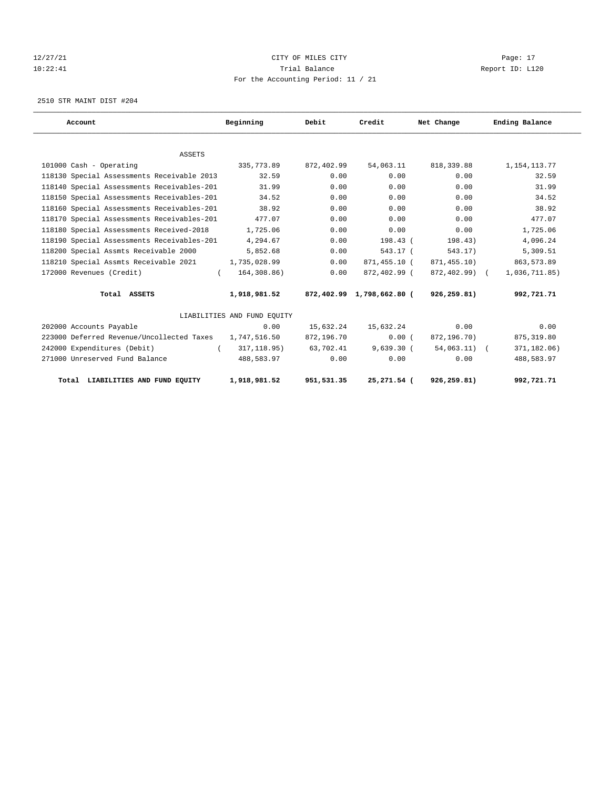## 12/27/21 CITY OF MILES CITY Page: 17 10:22:41 Trial Balance Report ID: L120 For the Accounting Period: 11 / 21

2510 STR MAINT DIST #204

| Account                                    | Beginning                   | Debit      | Credit                    | Net Change     | Ending Balance  |
|--------------------------------------------|-----------------------------|------------|---------------------------|----------------|-----------------|
|                                            |                             |            |                           |                |                 |
| <b>ASSETS</b>                              |                             |            |                           |                |                 |
| 101000 Cash - Operating                    | 335,773.89                  | 872,402.99 | 54,063.11                 | 818,339.88     | 1, 154, 113. 77 |
| 118130 Special Assessments Receivable 2013 | 32.59                       | 0.00       | 0.00                      | 0.00           | 32.59           |
| 118140 Special Assessments Receivables-201 | 31.99                       | 0.00       | 0.00                      | 0.00           | 31.99           |
| 118150 Special Assessments Receivables-201 | 34.52                       | 0.00       | 0.00                      | 0.00           | 34.52           |
| 118160 Special Assessments Receivables-201 | 38.92                       | 0.00       | 0.00                      | 0.00           | 38.92           |
| 118170 Special Assessments Receivables-201 | 477.07                      | 0.00       | 0.00                      | 0.00           | 477.07          |
| 118180 Special Assessments Received-2018   | 1,725.06                    | 0.00       | 0.00                      | 0.00           | 1,725.06        |
| 118190 Special Assessments Receivables-201 | 4,294.67                    | 0.00       | 198.43 (                  | 198.43)        | 4,096.24        |
| 118200 Special Assmts Receivable 2000      | 5,852.68                    | 0.00       | 543.17 (                  | 543.17         | 5,309.51        |
| 118210 Special Assmts Receivable 2021      | 1,735,028.99                | 0.00       | 871,455.10 (              | 871,455.10)    | 863,573.89      |
| 172000 Revenues (Credit)                   | 164,308.86)<br>$\left($     | 0.00       | 872,402.99 (              | 872,402.99) (  | 1,036,711.85)   |
| Total ASSETS                               | 1,918,981.52                |            | 872,402.99 1,798,662.80 ( | 926,259.81)    | 992,721.71      |
|                                            | LIABILITIES AND FUND EOUITY |            |                           |                |                 |
| 202000 Accounts Payable                    | 0.00                        | 15,632.24  | 15,632.24                 | 0.00           | 0.00            |
| 223000 Deferred Revenue/Uncollected Taxes  | 1,747,516.50                | 872,196.70 | 0.00(                     | 872,196.70)    | 875, 319.80     |
| 242000 Expenditures (Debit)                | 317, 118.95)<br>$\sqrt{2}$  | 63,702.41  | 9,639.30(                 | $54,063.11)$ ( | 371,182.06)     |
| 271000 Unreserved Fund Balance             | 488,583.97                  | 0.00       | 0.00                      | 0.00           | 488,583.97      |
| Total LIABILITIES AND FUND EQUITY          | 1,918,981.52                | 951,531.35 | 25,271.54 (               | 926, 259.81)   | 992,721.71      |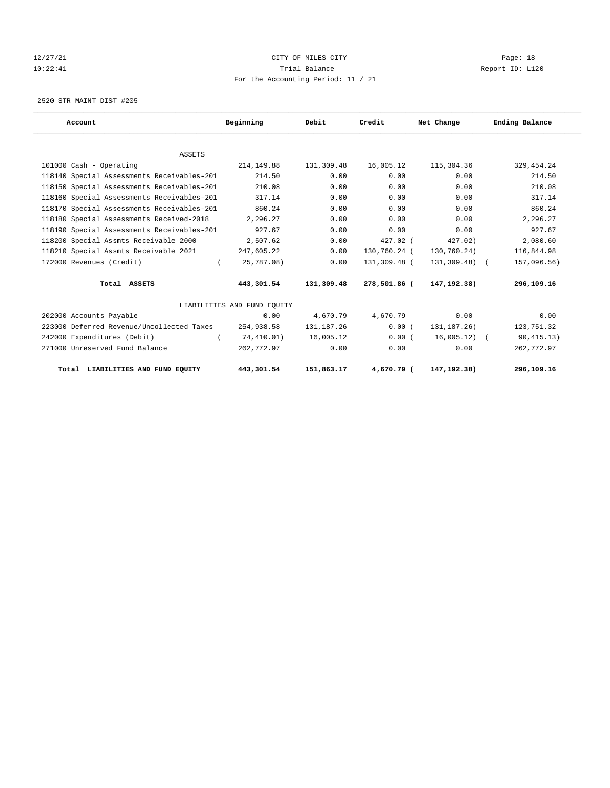## 12/27/21 CITY OF MILES CITY Page: 18 10:22:41 Trial Balance Report ID: L120 For the Accounting Period: 11 / 21

2520 STR MAINT DIST #205

| Account                                    | Beginning                   | Debit        | Credit       | Net Change     | Ending Balance |
|--------------------------------------------|-----------------------------|--------------|--------------|----------------|----------------|
|                                            |                             |              |              |                |                |
| <b>ASSETS</b>                              |                             |              |              |                |                |
| 101000 Cash - Operating                    | 214, 149.88                 | 131,309.48   | 16,005.12    | 115,304.36     | 329, 454.24    |
| 118140 Special Assessments Receivables-201 | 214.50                      | 0.00         | 0.00         | 0.00           | 214.50         |
| 118150 Special Assessments Receivables-201 | 210.08                      | 0.00         | 0.00         | 0.00           | 210.08         |
| 118160 Special Assessments Receivables-201 | 317.14                      | 0.00         | 0.00         | 0.00           | 317.14         |
| 118170 Special Assessments Receivables-201 | 860.24                      | 0.00         | 0.00         | 0.00           | 860.24         |
| 118180 Special Assessments Received-2018   | 2,296.27                    | 0.00         | 0.00         | 0.00           | 2,296.27       |
| 118190 Special Assessments Receivables-201 | 927.67                      | 0.00         | 0.00         | 0.00           | 927.67         |
| 118200 Special Assmts Receivable 2000      | 2,507.62                    | 0.00         | 427.02 (     | 427.02         | 2,080.60       |
| 118210 Special Assmts Receivable 2021      | 247,605.22                  | 0.00         | 130,760.24 ( | 130,760.24)    | 116,844.98     |
| 172000 Revenues (Credit)                   | 25,787.08)                  | 0.00         | 131,309.48 ( | 131,309.48) (  | 157,096.56)    |
| Total ASSETS                               | 443,301.54                  | 131,309.48   | 278,501.86 ( | 147, 192. 38)  | 296,109.16     |
|                                            | LIABILITIES AND FUND EOUITY |              |              |                |                |
| 202000 Accounts Payable                    | 0.00                        | 4,670.79     | 4,670.79     | 0.00           | 0.00           |
| 223000 Deferred Revenue/Uncollected Taxes  | 254,938.58                  | 131, 187. 26 | 0.00(        | 131, 187. 26)  | 123,751.32     |
| 242000 Expenditures (Debit)<br>$\left($    | 74,410.01)                  | 16,005.12    | 0.00(        | $16,005.12)$ ( | 90, 415.13)    |
| 271000 Unreserved Fund Balance             | 262,772.97                  | 0.00         | 0.00         | 0.00           | 262,772.97     |
| Total LIABILITIES AND FUND EOUITY          | 443,301.54                  | 151,863.17   | 4,670.79 (   | 147, 192, 38)  | 296,109.16     |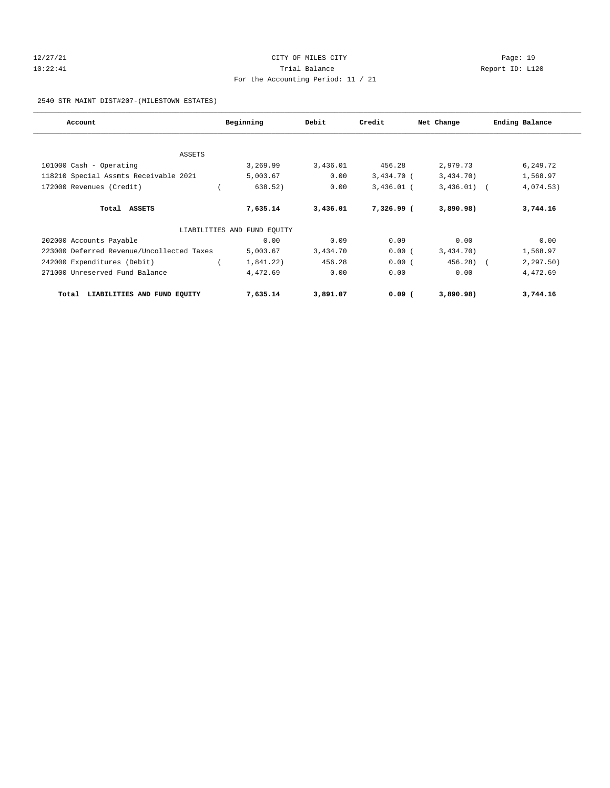## 12/27/21 CITY OF MILES CITY Page: 19 10:22:41 Trial Balance Report ID: L120 For the Accounting Period: 11 / 21

#### 2540 STR MAINT DIST#207-(MILESTOWN ESTATES)

| Account                                   |  | Beginning                   |          | Credit       | Net Change   | Ending Balance |            |
|-------------------------------------------|--|-----------------------------|----------|--------------|--------------|----------------|------------|
|                                           |  |                             |          |              |              |                |            |
| <b>ASSETS</b>                             |  |                             |          |              |              |                |            |
| 101000 Cash - Operating                   |  | 3,269.99                    | 3,436.01 | 456.28       | 2,979.73     |                | 6,249.72   |
| 118210 Special Assmts Receivable 2021     |  | 5,003.67                    | 0.00     | $3,434.70$ ( | 3,434.70)    |                | 1,568.97   |
| 172000 Revenues (Credit)                  |  | 638.52)                     | 0.00     | $3,436.01$ ( | $3,436.01$ ( |                | 4,074.53)  |
| Total ASSETS                              |  | 7,635.14                    | 3,436.01 | 7,326.99 (   | 3,890.98)    |                | 3,744.16   |
|                                           |  | LIABILITIES AND FUND EQUITY |          |              |              |                |            |
| 202000 Accounts Payable                   |  | 0.00                        | 0.09     | 0.09         | 0.00         |                | 0.00       |
| 223000 Deferred Revenue/Uncollected Taxes |  | 5,003.67                    | 3,434.70 | 0.00(        | 3,434.70)    |                | 1,568.97   |
| 242000 Expenditures (Debit)               |  | 1,841.22)                   | 456.28   | 0.00(        | $456.28$ (   |                | 2, 297.50) |
| 271000 Unreserved Fund Balance            |  | 4,472.69                    | 0.00     | 0.00         | 0.00         |                | 4,472.69   |
| LIABILITIES AND FUND EQUITY<br>Total      |  | 7,635.14                    | 3,891.07 | $0.09$ (     | 3,890.98)    |                | 3,744.16   |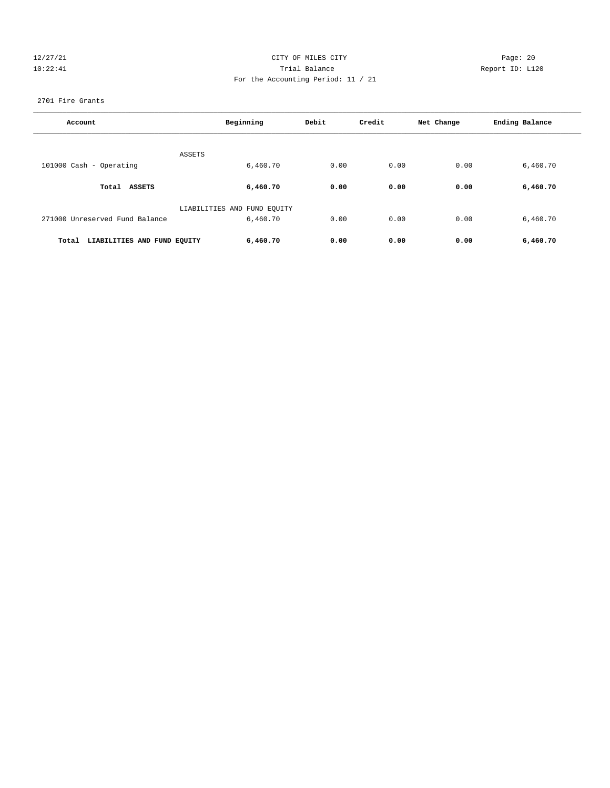## 12/27/21 CITY OF MILES CITY Page: 20 10:22:41 Trial Balance Report ID: L120 For the Accounting Period: 11 / 21

#### 2701 Fire Grants

| Account                              | Beginning                               | Debit | Credit | Net Change | Ending Balance |
|--------------------------------------|-----------------------------------------|-------|--------|------------|----------------|
|                                      | <b>ASSETS</b>                           |       |        |            |                |
| 101000 Cash - Operating              | 6,460.70                                | 0.00  | 0.00   | 0.00       | 6,460.70       |
| <b>ASSETS</b><br>Total               | 6,460.70                                | 0.00  | 0.00   | 0.00       | 6,460.70       |
| 271000 Unreserved Fund Balance       | LIABILITIES AND FUND EQUITY<br>6,460.70 | 0.00  | 0.00   | 0.00       | 6,460.70       |
| LIABILITIES AND FUND EQUITY<br>Total | 6,460.70                                | 0.00  | 0.00   | 0.00       | 6,460.70       |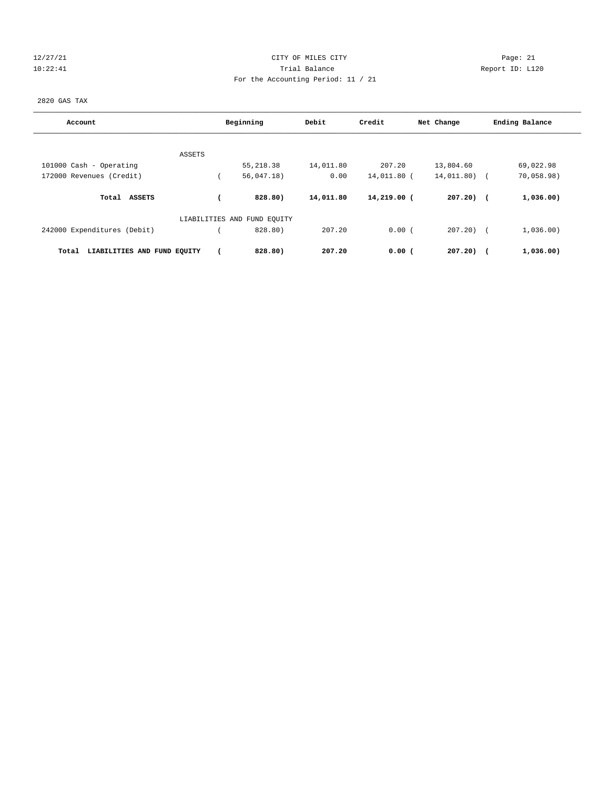## 12/27/21 CITY OF MILES CITY Page: 21 10:22:41 Trial Balance Report ID: L120 For the Accounting Period: 11 / 21

2820 GAS TAX

| Account                              | Beginning |                             | Debit     | Credit      | Net Change   | Ending Balance           |  |
|--------------------------------------|-----------|-----------------------------|-----------|-------------|--------------|--------------------------|--|
|                                      |           |                             |           |             |              |                          |  |
| 101000 Cash - Operating              | ASSETS    | 55, 218.38                  | 14,011.80 | 207.20      | 13,804.60    | 69,022.98                |  |
|                                      |           |                             | 0.00      |             |              |                          |  |
| 172000 Revenues (Credit)             |           | 56,047.18)                  |           | 14,011.80 ( | 14,011.80)   | 70,058.98)<br>$\sqrt{2}$ |  |
| Total ASSETS                         |           | 828,80)                     | 14,011.80 | 14,219.00 ( | $207.20$ ) ( | 1,036.00)                |  |
|                                      |           | LIABILITIES AND FUND EQUITY |           |             |              |                          |  |
| 242000 Expenditures (Debit)          |           | 828.80)                     | 207.20    | 0.00(       | $207.20$ $($ | 1,036.00)                |  |
| LIABILITIES AND FUND EQUITY<br>Total |           | 828,80)                     | 207.20    | $0.00$ (    | 207.20)      | 1,036.00)                |  |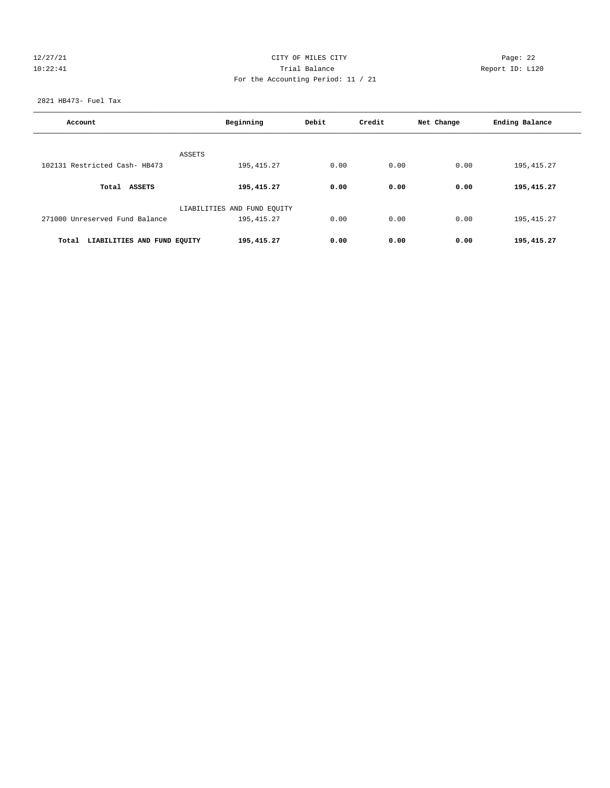## 12/27/21 CITY OF MILES CITY Page: 22 10:22:41 Trial Balance Report ID: L120 For the Accounting Period: 11 / 21

2821 HB473- Fuel Tax

| Account                              | Beginning                   | Debit | Credit | Net Change | Ending Balance |
|--------------------------------------|-----------------------------|-------|--------|------------|----------------|
| ASSETS                               |                             |       |        |            |                |
| 102131 Restricted Cash- HB473        | 195, 415.27                 | 0.00  | 0.00   | 0.00       | 195, 415.27    |
| Total ASSETS                         | 195,415.27                  | 0.00  | 0.00   | 0.00       | 195,415.27     |
|                                      | LIABILITIES AND FUND EQUITY |       |        |            |                |
| 271000 Unreserved Fund Balance       | 195, 415.27                 | 0.00  | 0.00   | 0.00       | 195, 415.27    |
| Total<br>LIABILITIES AND FUND EQUITY | 195,415.27                  | 0.00  | 0.00   | 0.00       | 195,415.27     |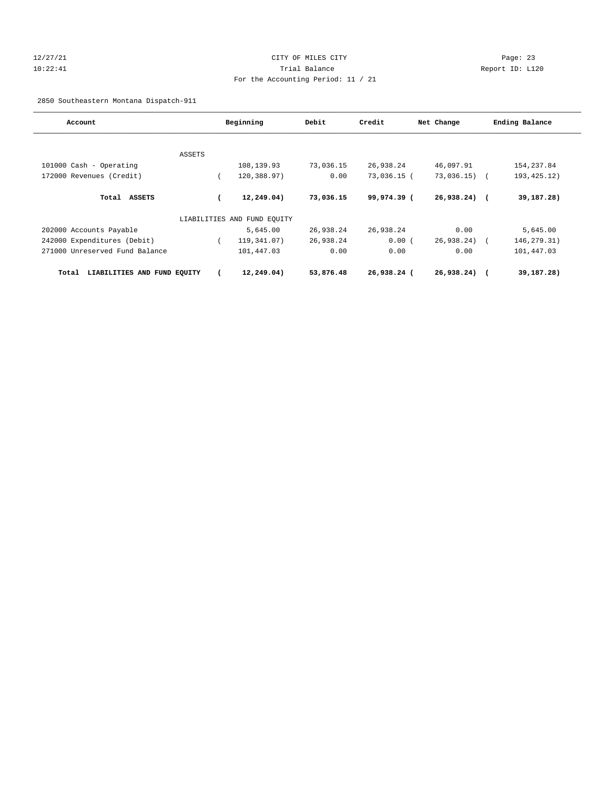## 12/27/21 CITY OF MILES CITY Page: 23 10:22:41 Trial Balance Report ID: L120 For the Accounting Period: 11 / 21

2850 Southeastern Montana Dispatch-911

| Account                              | Beginning |                             | Debit     | Credit      | Net Change      | Ending Balance |
|--------------------------------------|-----------|-----------------------------|-----------|-------------|-----------------|----------------|
|                                      |           |                             |           |             |                 |                |
|                                      | ASSETS    |                             |           |             |                 |                |
| 101000 Cash - Operating              |           | 108,139.93                  | 73,036.15 | 26,938.24   | 46,097.91       | 154, 237.84    |
| 172000 Revenues (Credit)             |           | 120,388.97)                 | 0.00      | 73,036.15 ( | $73,036.15)$ (  | 193,425.12)    |
| Total ASSETS                         |           | 12,249.04)                  | 73,036.15 | 99,974.39 ( | $26,938.24$ ) ( | 39,187.28)     |
|                                      |           | LIABILITIES AND FUND EQUITY |           |             |                 |                |
| 202000 Accounts Payable              |           | 5,645.00                    | 26,938.24 | 26,938.24   | 0.00            | 5,645.00       |
| 242000 Expenditures (Debit)          |           | 119,341.07)                 | 26,938.24 | 0.00(       | $26,938,24$ (   | 146,279.31)    |
| 271000 Unreserved Fund Balance       |           | 101,447.03                  | 0.00      | 0.00        | 0.00            | 101,447.03     |
| LIABILITIES AND FUND EQUITY<br>Total |           | 12,249.04)                  | 53,876.48 | 26,938.24 ( | $26,938.24$ (   | 39,187.28)     |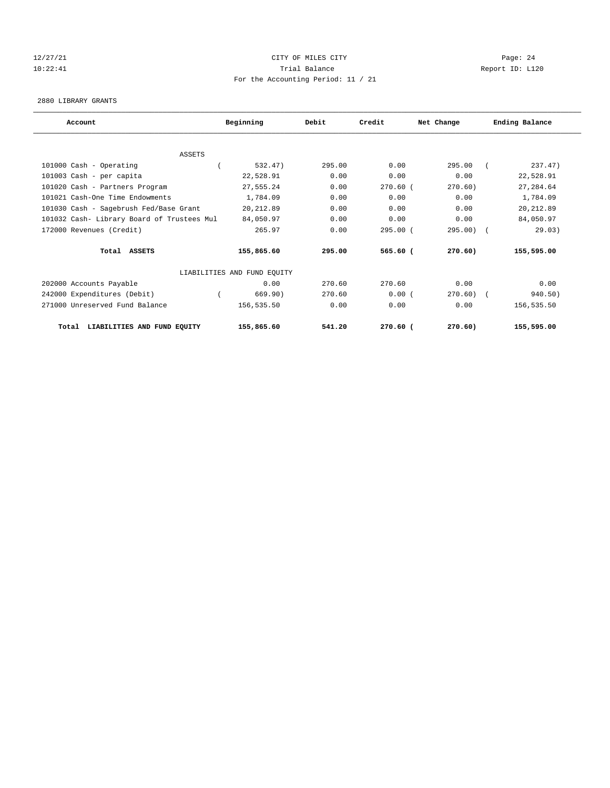## 12/27/21 CITY OF MILES CITY Page: 24 10:22:41 Trial Balance Report ID: L120 For the Accounting Period: 11 / 21

#### 2880 LIBRARY GRANTS

| Account                                    |  | Beginning                   | Debit  | Credit     | Net Change | Ending Balance |            |  |
|--------------------------------------------|--|-----------------------------|--------|------------|------------|----------------|------------|--|
|                                            |  |                             |        |            |            |                |            |  |
| <b>ASSETS</b>                              |  |                             |        |            |            |                |            |  |
| 101000 Cash - Operating                    |  | 532.47)                     | 295.00 | 0.00       | 295.00     |                | 237.47)    |  |
| 101003 Cash - per capita                   |  | 22,528.91                   | 0.00   | 0.00       | 0.00       |                | 22,528.91  |  |
| 101020 Cash - Partners Program             |  | 27,555.24                   | 0.00   | $270.60$ ( | 270.60     |                | 27,284.64  |  |
| 101021 Cash-One Time Endowments            |  | 1,784.09                    | 0.00   | 0.00       | 0.00       |                | 1,784.09   |  |
| 101030 Cash - Sagebrush Fed/Base Grant     |  | 20, 212.89                  | 0.00   | 0.00       | 0.00       |                | 20, 212.89 |  |
| 101032 Cash- Library Board of Trustees Mul |  | 84,050.97                   | 0.00   | 0.00       | 0.00       |                | 84,050.97  |  |
| 172000 Revenues (Credit)                   |  | 265.97                      | 0.00   | $295.00$ ( | $295.00$ ( |                | 29.03)     |  |
| Total ASSETS                               |  | 155,865.60                  | 295.00 | 565.60(    | 270.60)    |                | 155,595.00 |  |
|                                            |  | LIABILITIES AND FUND EQUITY |        |            |            |                |            |  |
| 202000 Accounts Payable                    |  | 0.00                        | 270.60 | 270.60     | 0.00       |                | 0.00       |  |
| 242000 Expenditures (Debit)                |  | 669.90)                     | 270.60 | 0.00(      | 270.60     |                | 940.50)    |  |
| 271000 Unreserved Fund Balance             |  | 156,535.50                  | 0.00   | 0.00       | 0.00       |                | 156,535.50 |  |
| LIABILITIES AND FUND EQUITY<br>Total       |  | 155,865.60                  | 541.20 | 270.60 (   | 270.60)    |                | 155,595.00 |  |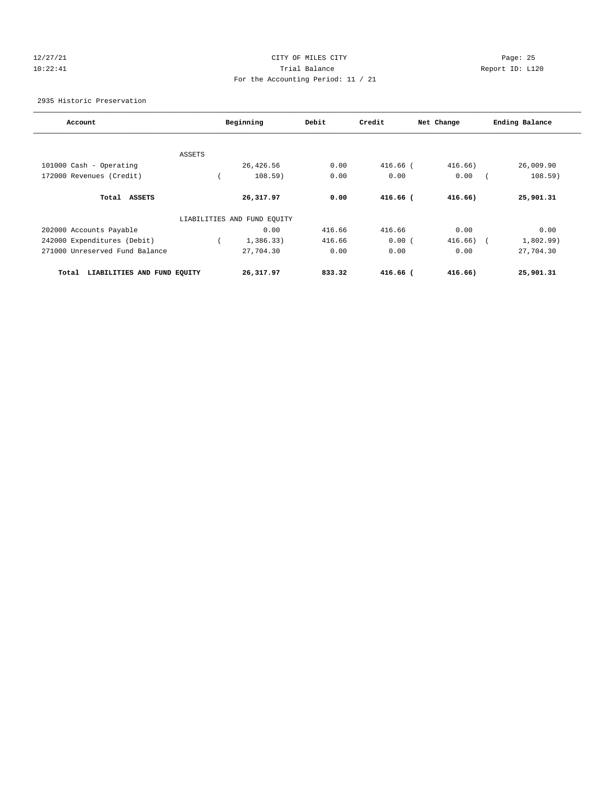## 12/27/21 CITY OF MILES CITY Page: 25 10:22:41 Trial Balance Report ID: L120 For the Accounting Period: 11 / 21

2935 Historic Preservation

| Account                              |               | Beginning                   | Debit  | Credit     | Net Change   | Ending Balance |
|--------------------------------------|---------------|-----------------------------|--------|------------|--------------|----------------|
|                                      |               |                             |        |            |              |                |
|                                      | <b>ASSETS</b> |                             |        |            |              |                |
| 101000 Cash - Operating              |               | 26,426.56                   | 0.00   | 416.66 (   | 416.66)      | 26,009.90      |
| 172000 Revenues (Credit)             |               | 108.59)                     | 0.00   | 0.00       | 0.00         | 108.59)        |
| <b>ASSETS</b><br>Total               |               | 26,317.97                   | 0.00   | $416.66$ ( | 416.66)      | 25,901.31      |
|                                      |               | LIABILITIES AND FUND EQUITY |        |            |              |                |
| 202000 Accounts Payable              |               | 0.00                        | 416.66 | 416.66     | 0.00         | 0.00           |
| 242000 Expenditures (Debit)          |               | 1,386.33)                   | 416.66 | 0.00(      | $416.66$ ) ( | 1,802.99       |
| 271000 Unreserved Fund Balance       |               | 27,704.30                   | 0.00   | 0.00       | 0.00         | 27,704.30      |
| LIABILITIES AND FUND EQUITY<br>Total |               | 26,317.97                   | 833.32 | $416.66$ ( | 416.66)      | 25,901.31      |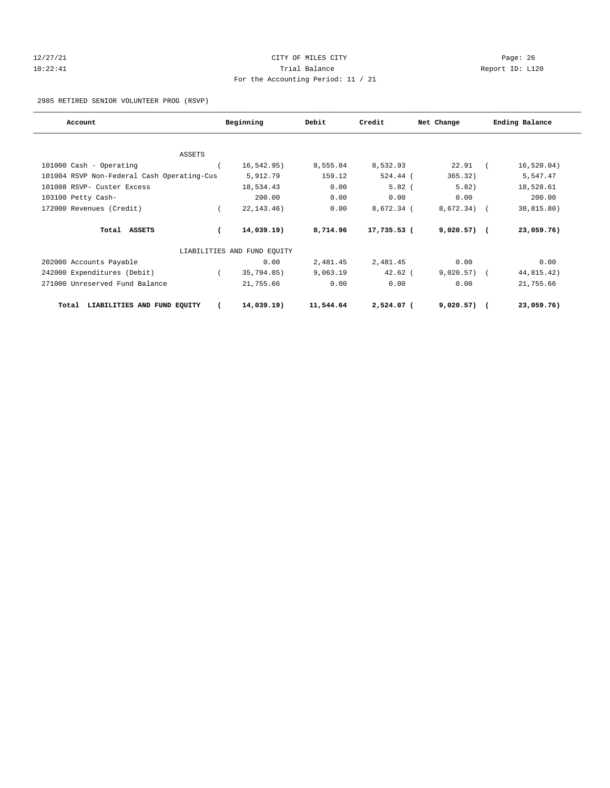# 12/27/21 CITY OF MILES CITY Page: 26 10:22:41 Trial Balance Report ID: L120 For the Accounting Period: 11 / 21

2985 RETIRED SENIOR VOLUNTEER PROG (RSVP)

| Account                                    | Beginning                   | Debit     | Credit      | Net Change   | Ending Balance |
|--------------------------------------------|-----------------------------|-----------|-------------|--------------|----------------|
|                                            |                             |           |             |              |                |
| ASSETS                                     |                             |           |             |              |                |
| 101000 Cash - Operating                    | 16, 542.95)                 | 8,555.84  | 8,532.93    | 22.91        | 16,520.04)     |
| 101004 RSVP Non-Federal Cash Operating-Cus | 5,912.79                    | 159.12    | $524.44$ (  | 365.32)      | 5,547.47       |
| 101008 RSVP- Custer Excess                 | 18,534.43                   | 0.00      | 5.82        | 5.82)        | 18,528.61      |
| 103100 Petty Cash-                         | 200.00                      | 0.00      | 0.00        | 0.00         | 200.00         |
| 172000 Revenues (Credit)                   | 22, 143, 46)                | 0.00      | 8,672.34 (  | 8,672.34)    | 30, 815.80)    |
| Total ASSETS                               | 14,039.19)                  | 8,714.96  | 17,735.53 ( | $9,020.57$ ( | 23,059.76)     |
|                                            | LIABILITIES AND FUND EQUITY |           |             |              |                |
| 202000 Accounts Payable                    | 0.00                        | 2,481.45  | 2,481.45    | 0.00         | 0.00           |
| 242000 Expenditures (Debit)                | 35,794.85)                  | 9,063.19  | 42.62       | 9,020.57)    | 44,815.42)     |
| 271000 Unreserved Fund Balance             | 21,755.66                   | 0.00      | 0.00        | 0.00         | 21,755.66      |
| LIABILITIES AND FUND EQUITY<br>Total       | 14,039.19)                  | 11,544.64 | 2,524.07 (  | $9,020.57$ ( | 23,059.76)     |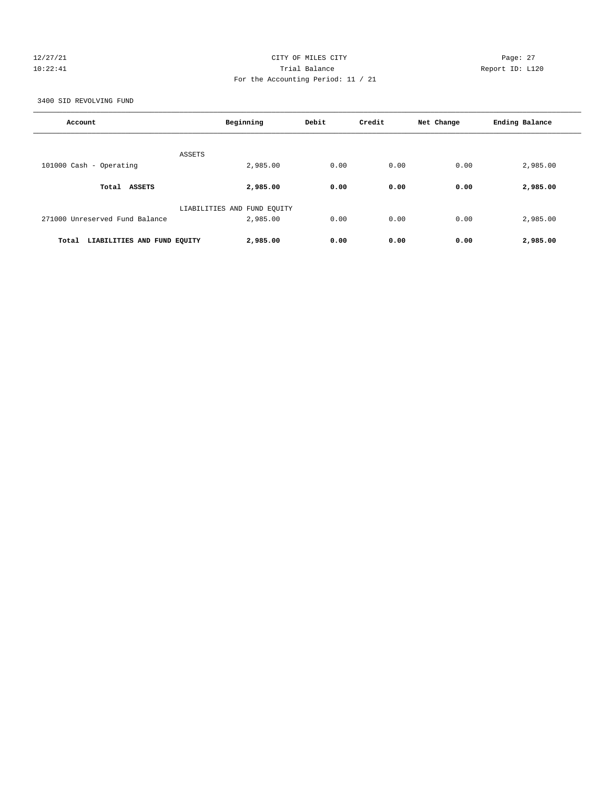## 12/27/21 CITY OF MILES CITY Page: 27 10:22:41 Trial Balance Report ID: L120 For the Accounting Period: 11 / 21

3400 SID REVOLVING FUND

| Account                              | Beginning                   | Debit | Credit | Net Change | Ending Balance |
|--------------------------------------|-----------------------------|-------|--------|------------|----------------|
| ASSETS                               |                             |       |        |            |                |
| 101000 Cash - Operating              | 2,985.00                    | 0.00  | 0.00   | 0.00       | 2,985.00       |
| Total ASSETS                         | 2,985.00                    | 0.00  | 0.00   | 0.00       | 2,985.00       |
|                                      | LIABILITIES AND FUND EQUITY |       |        |            |                |
| 271000 Unreserved Fund Balance       | 2,985.00                    | 0.00  | 0.00   | 0.00       | 2,985.00       |
| LIABILITIES AND FUND EQUITY<br>Total | 2,985.00                    | 0.00  | 0.00   | 0.00       | 2,985.00       |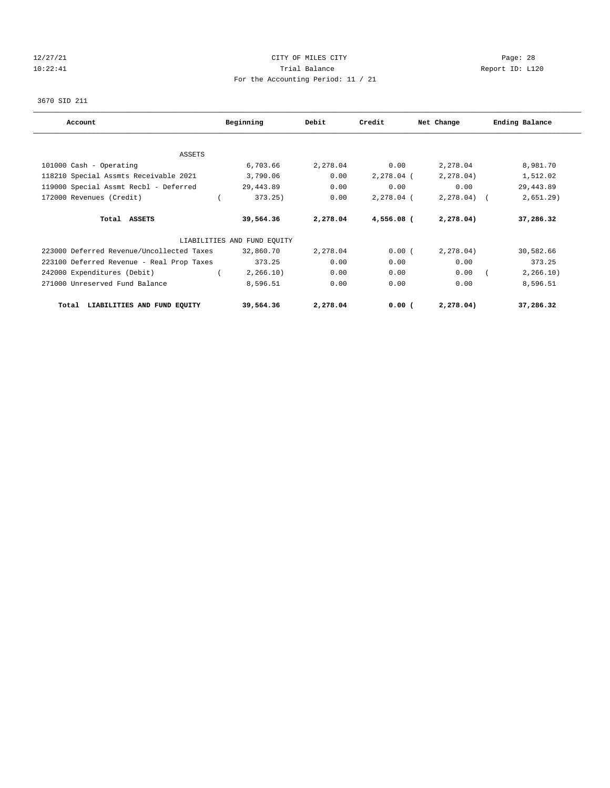## 12/27/21 CITY OF MILES CITY Page: 28 10:22:41 Trial Balance Report ID: L120 For the Accounting Period: 11 / 21

3670 SID 211

| Account                                   | Beginning                   | Debit    | Credit       | Net Change    | Ending Balance |
|-------------------------------------------|-----------------------------|----------|--------------|---------------|----------------|
|                                           |                             |          |              |               |                |
| ASSETS                                    |                             |          |              |               |                |
| 101000 Cash - Operating                   | 6,703.66                    | 2,278.04 | 0.00         | 2,278.04      | 8,981.70       |
| 118210 Special Assmts Receivable 2021     | 3,790.06                    | 0.00     | 2,278.04 (   | 2, 278.04)    | 1,512.02       |
| 119000 Special Assmt Recbl - Deferred     | 29,443.89                   | 0.00     | 0.00         | 0.00          | 29, 443.89     |
| 172000 Revenues (Credit)                  | 373.25)                     | 0.00     | $2,278.04$ ( | $2, 278.04$ ( | 2,651.29)      |
| Total ASSETS                              | 39,564.36                   | 2,278.04 | $4,556.08$ ( | 2,278.04)     | 37,286.32      |
|                                           | LIABILITIES AND FUND EQUITY |          |              |               |                |
| 223000 Deferred Revenue/Uncollected Taxes | 32,860.70                   | 2,278.04 | 0.00(        | 2, 278.04)    | 30,582.66      |
| 223100 Deferred Revenue - Real Prop Taxes | 373.25                      | 0.00     | 0.00         | 0.00          | 373.25         |
| 242000 Expenditures (Debit)               | 2, 266.10)                  | 0.00     | 0.00         | 0.00          | 2, 266.10)     |
| 271000 Unreserved Fund Balance            | 8,596.51                    | 0.00     | 0.00         | 0.00          | 8,596.51       |
| LIABILITIES AND FUND EQUITY<br>Total      | 39,564.36                   | 2,278.04 | 0.00(        | 2,278.04)     | 37,286.32      |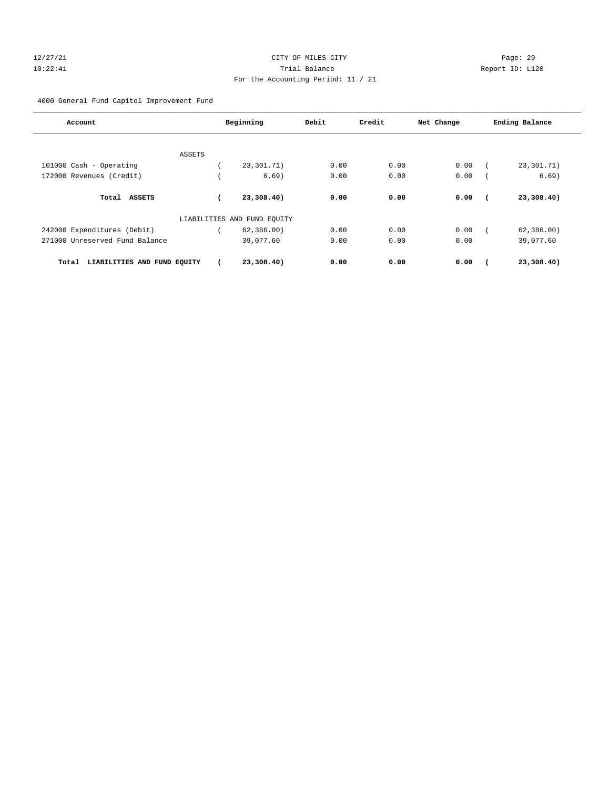## 12/27/21 CITY OF MILES CITY Page: 29 10:22:41 Trial Balance Report ID: L120 For the Accounting Period: 11 / 21

4000 General Fund Capitol Improvement Fund

| Account                              |        | Beginning                   | Debit | Credit | Net Change | Ending Balance |
|--------------------------------------|--------|-----------------------------|-------|--------|------------|----------------|
|                                      | ASSETS |                             |       |        |            |                |
| 101000 Cash - Operating              |        | 23, 301. 71)                | 0.00  | 0.00   | 0.00       | 23,301.71)     |
| 172000 Revenues (Credit)             |        | 6.69)                       | 0.00  | 0.00   | 0.00       | 6.69)          |
| <b>ASSETS</b><br>Total               |        | 23,308.40)                  | 0.00  | 0.00   | 0.00       | 23,308.40)     |
|                                      |        | LIABILITIES AND FUND EQUITY |       |        |            |                |
| 242000 Expenditures (Debit)          |        | 62, 386, 00)                | 0.00  | 0.00   | 0.00       | 62,386.00      |
| 271000 Unreserved Fund Balance       |        | 39,077.60                   | 0.00  | 0.00   | 0.00       | 39,077.60      |
| LIABILITIES AND FUND EQUITY<br>Total |        | 23,308.40)                  | 0.00  | 0.00   | 0.00       | 23,308.40)     |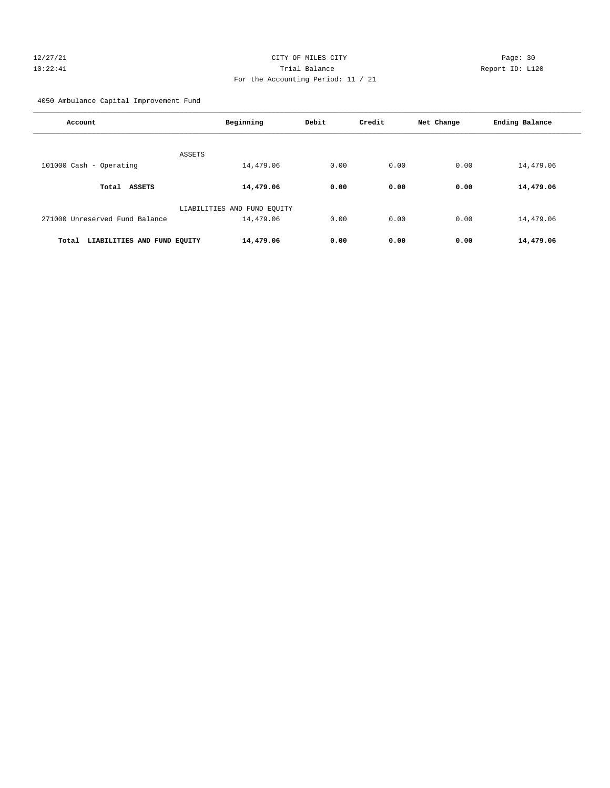## 12/27/21 CITY OF MILES CITY Page: 30 10:22:41 Trial Balance Report ID: L120 For the Accounting Period: 11 / 21

4050 Ambulance Capital Improvement Fund

| Account                              | Beginning                   | Debit | Credit | Net Change | Ending Balance |
|--------------------------------------|-----------------------------|-------|--------|------------|----------------|
| ASSETS                               |                             |       |        |            |                |
| 101000 Cash - Operating              | 14,479.06                   | 0.00  | 0.00   | 0.00       | 14,479.06      |
| Total ASSETS                         | 14,479.06                   | 0.00  | 0.00   | 0.00       | 14,479.06      |
|                                      | LIABILITIES AND FUND EQUITY |       |        |            |                |
| 271000 Unreserved Fund Balance       | 14,479.06                   | 0.00  | 0.00   | 0.00       | 14,479.06      |
| LIABILITIES AND FUND EQUITY<br>Total | 14,479.06                   | 0.00  | 0.00   | 0.00       | 14,479.06      |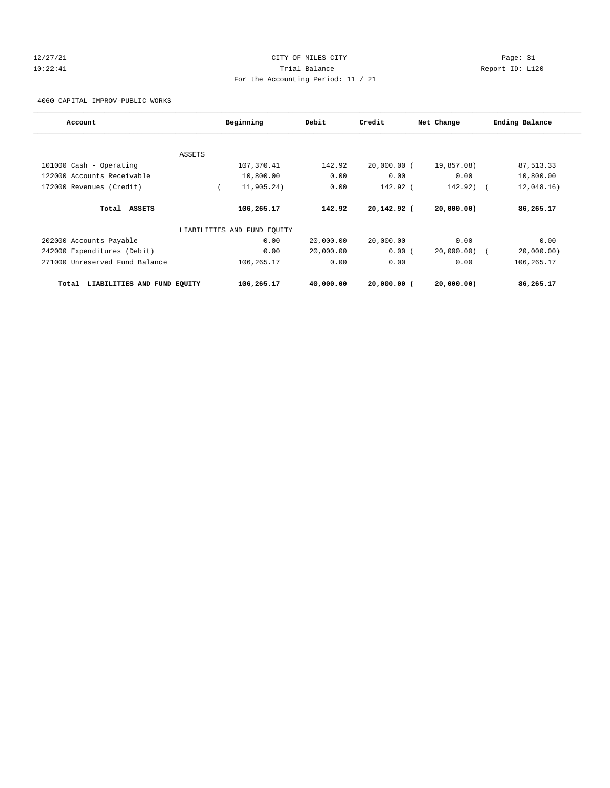## 12/27/21 CITY OF MILES CITY Page: 31 10:22:41 Trial Balance Report ID: L120 For the Accounting Period: 11 / 21

4060 CAPITAL IMPROV-PUBLIC WORKS

| Account                              | Beginning                   | Debit     | Credit      | Net Change | Ending Balance |
|--------------------------------------|-----------------------------|-----------|-------------|------------|----------------|
|                                      |                             |           |             |            |                |
| <b>ASSETS</b>                        |                             |           |             |            |                |
| 101000 Cash - Operating              | 107,370.41                  | 142.92    | 20,000.00 ( | 19,857.08) | 87, 513.33     |
| 122000 Accounts Receivable           | 10,800.00                   | 0.00      | 0.00        | 0.00       | 10,800.00      |
| 172000 Revenues (Credit)             | 11,905.24)                  | 0.00      | 142.92 (    | 142.92)    | 12,048.16)     |
| Total<br>ASSETS                      | 106,265.17                  | 142.92    | 20,142.92 ( | 20,000.00) | 86,265.17      |
|                                      | LIABILITIES AND FUND EQUITY |           |             |            |                |
| 202000 Accounts Payable              | 0.00                        | 20,000.00 | 20,000.00   | 0.00       | 0.00           |
| 242000 Expenditures (Debit)          | 0.00                        | 20,000.00 | 0.00(       | 20,000.00) | 20,000.00)     |
| 271000 Unreserved Fund Balance       | 106,265.17                  | 0.00      | 0.00        | 0.00       | 106,265.17     |
| LIABILITIES AND FUND EQUITY<br>Total | 106,265.17                  | 40,000.00 | 20,000.00 ( | 20,000.00) | 86,265.17      |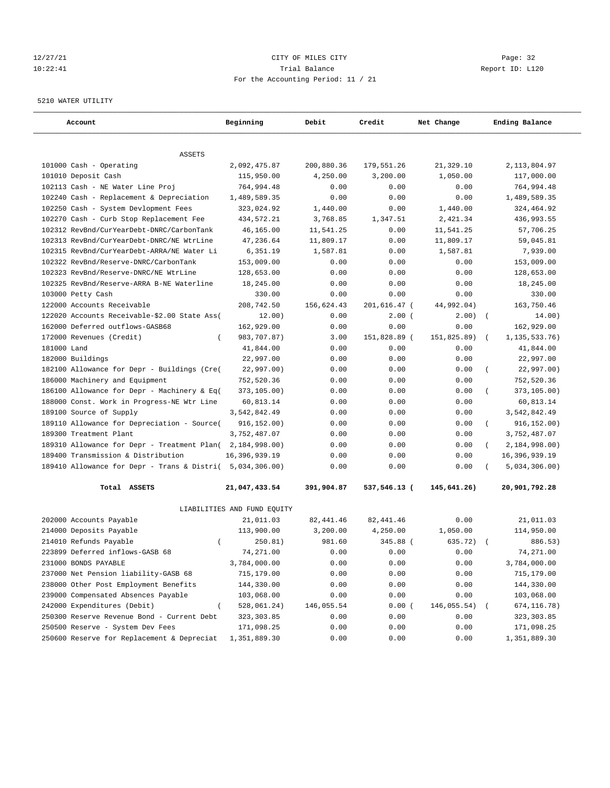## 12/27/21 CITY OF MILES CITY Page: 32 10:22:41 Trial Balance Report ID: L120 For the Accounting Period: 11 / 21

#### 5210 WATER UTILITY

| Account                                                   | Beginning                   | Debit      | Credit       | Net Change      | Ending Balance              |
|-----------------------------------------------------------|-----------------------------|------------|--------------|-----------------|-----------------------------|
| <b>ASSETS</b>                                             |                             |            |              |                 |                             |
| 101000 Cash - Operating                                   | 2,092,475.87                | 200,880.36 | 179,551.26   | 21,329.10       | 2, 113, 804.97              |
| 101010 Deposit Cash                                       | 115,950.00                  | 4,250.00   | 3,200.00     | 1,050.00        | 117,000.00                  |
| 102113 Cash - NE Water Line Proj                          | 764,994.48                  | 0.00       | 0.00         | 0.00            | 764,994.48                  |
| 102240 Cash - Replacement & Depreciation                  | 1,489,589.35                | 0.00       | 0.00         | 0.00            | 1,489,589.35                |
| 102250 Cash - System Devlopment Fees                      | 323,024.92                  | 1,440.00   | 0.00         | 1,440.00        | 324,464.92                  |
| 102270 Cash - Curb Stop Replacement Fee                   | 434,572.21                  | 3,768.85   | 1,347.51     | 2,421.34        | 436,993.55                  |
| 102312 RevBnd/CurYearDebt-DNRC/CarbonTank                 | 46,165.00                   | 11,541.25  | 0.00         | 11,541.25       | 57,706.25                   |
| 102313 RevBnd/CurYearDebt-DNRC/NE WtrLine                 | 47,236.64                   | 11,809.17  | 0.00         | 11,809.17       | 59,045.81                   |
| 102315 RevBnd/CurYearDebt-ARRA/NE Water Li                | 6,351.19                    | 1,587.81   | 0.00         | 1,587.81        | 7,939.00                    |
| 102322 RevBnd/Reserve-DNRC/CarbonTank                     | 153,009.00                  | 0.00       | 0.00         | 0.00            | 153,009.00                  |
| 102323 RevBnd/Reserve-DNRC/NE WtrLine                     | 128,653.00                  | 0.00       | 0.00         | 0.00            | 128,653.00                  |
| 102325 RevBnd/Reserve-ARRA B-NE Waterline                 | 18,245.00                   | 0.00       | 0.00         | 0.00            | 18,245.00                   |
| 103000 Petty Cash                                         | 330.00                      | 0.00       | 0.00         | 0.00            | 330.00                      |
| 122000 Accounts Receivable                                | 208,742.50                  | 156,624.43 | 201,616.47 ( | 44,992.04)      | 163,750.46                  |
| 122020 Accounts Receivable-\$2.00 State Ass(              | 12.00)                      | 0.00       | 2.00(        | 2.00)           | 14.00)<br>$\overline{ }$    |
| 162000 Deferred outflows-GASB68                           | 162,929.00                  | 0.00       | 0.00         | 0.00            | 162,929.00                  |
| 172000 Revenues (Credit)<br>$\left($                      | 983,707.87)                 | 3.00       | 151,828.89 ( | 151,825.89)     | 1,135,533.76)<br>$\sqrt{2}$ |
| 181000 Land                                               | 41,844.00                   | 0.00       | 0.00         | 0.00            | 41,844.00                   |
| 182000 Buildings                                          | 22,997.00                   | 0.00       | 0.00         | 0.00            | 22,997.00                   |
| 182100 Allowance for Depr - Buildings (Cre(               | 22,997.00)                  | 0.00       | 0.00         | 0.00            | 22,997.00)                  |
| 186000 Machinery and Equipment                            | 752,520.36                  | 0.00       | 0.00         | 0.00            | 752,520.36                  |
| 186100 Allowance for Depr - Machinery & Eq(               | 373,105.00)                 | 0.00       | 0.00         | 0.00            | 373,105.00)<br>$\left($     |
| 188000 Const. Work in Progress-NE Wtr Line                | 60,813.14                   | 0.00       | 0.00         | 0.00            | 60,813.14                   |
| 189100 Source of Supply                                   | 3,542,842.49                | 0.00       | 0.00         | 0.00            | 3,542,842.49                |
| 189110 Allowance for Depreciation - Source(               | 916, 152.00)                | 0.00       | 0.00         | 0.00            | 916,152.00)<br>$\left($     |
| 189300 Treatment Plant                                    | 3,752,487.07                | 0.00       | 0.00         | 0.00            | 3,752,487.07                |
| 189310 Allowance for Depr - Treatment Plan(               | 2,184,998.00)               | 0.00       | 0.00         | 0.00            | 2,184,998.00)<br>$\left($   |
| 189400 Transmission & Distribution                        | 16,396,939.19               | 0.00       | 0.00         | 0.00            | 16,396,939.19               |
| 189410 Allowance for Depr - Trans & Distri( 5,034,306.00) |                             | 0.00       | 0.00         | 0.00            | 5,034,306.00)               |
| Total ASSETS                                              | 21,047,433.54               | 391,904.87 | 537,546.13 ( | 145,641.26)     | 20,901,792.28               |
|                                                           | LIABILITIES AND FUND EQUITY |            |              |                 |                             |
| 202000 Accounts Payable                                   | 21,011.03                   | 82, 441.46 | 82, 441.46   | 0.00            | 21,011.03                   |
| 214000 Deposits Payable                                   | 113,900.00                  | 3,200.00   | 4,250.00     | 1,050.00        | 114,950.00                  |
| 214010 Refunds Payable<br>$\left($                        | 250.81)                     | 981.60     | 345.88 (     | 635.72)         | 886.53)                     |
| 223899 Deferred inflows-GASB 68                           | 74,271.00                   | 0.00       | 0.00         | 0.00            | 74,271.00                   |
| 231000 BONDS PAYABLE                                      | 3,784,000.00                | 0.00       | 0.00         | 0.00            | 3,784,000.00                |
| 237000 Net Pension liability-GASB 68                      | 715,179.00                  | 0.00       | 0.00         | 0.00            | 715,179.00                  |
| 238000 Other Post Employment Benefits                     | 144,330.00                  | 0.00       | 0.00         | 0.00            | 144,330.00                  |
| 239000 Compensated Absences Payable                       | 103,068.00                  | 0.00       | 0.00         | 0.00            | 103,068.00                  |
| 242000 Expenditures (Debit)                               | 528,061.24)                 | 146,055.54 | 0.00(        | $146,055.54)$ ( | 674,116.78)                 |
| 250300 Reserve Revenue Bond - Current Debt                | 323, 303.85                 | 0.00       | 0.00         | 0.00            | 323,303.85                  |
| 250500 Reserve - System Dev Fees                          | 171,098.25                  | 0.00       | 0.00         | 0.00            | 171,098.25                  |
| 250600 Reserve for Replacement & Depreciat                | 1,351,889.30                | 0.00       | 0.00         | 0.00            | 1,351,889.30                |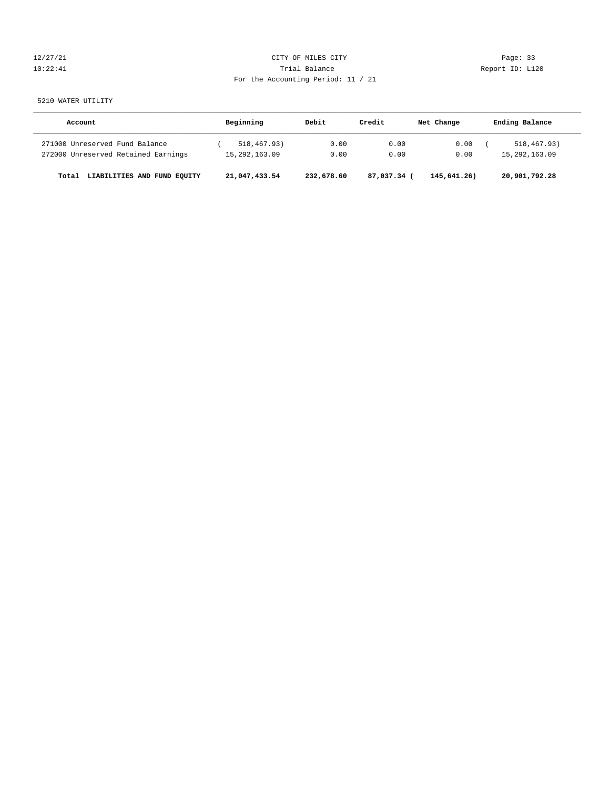## 12/27/21 CITY OF MILES CITY Page: 33 10:22:41 Trial Balance Report ID: L120 For the Accounting Period: 11 / 21

#### 5210 WATER UTILITY

| Account                              | Beginning     | Debit      | Credit      | Net Change  | Ending Balance   |
|--------------------------------------|---------------|------------|-------------|-------------|------------------|
| 271000 Unreserved Fund Balance       | 518,467.93)   | 0.00       | 0.00        | 0.00        | 518,467.93)      |
| 272000 Unreserved Retained Earnings  | 15,292,163.09 | 0.00       | 0.00        | 0.00        | 15, 292, 163, 09 |
| LIABILITIES AND FUND EOUITY<br>Total | 21,047,433.54 | 232,678.60 | 87,037.34 ( | 145,641,26) | 20,901,792.28    |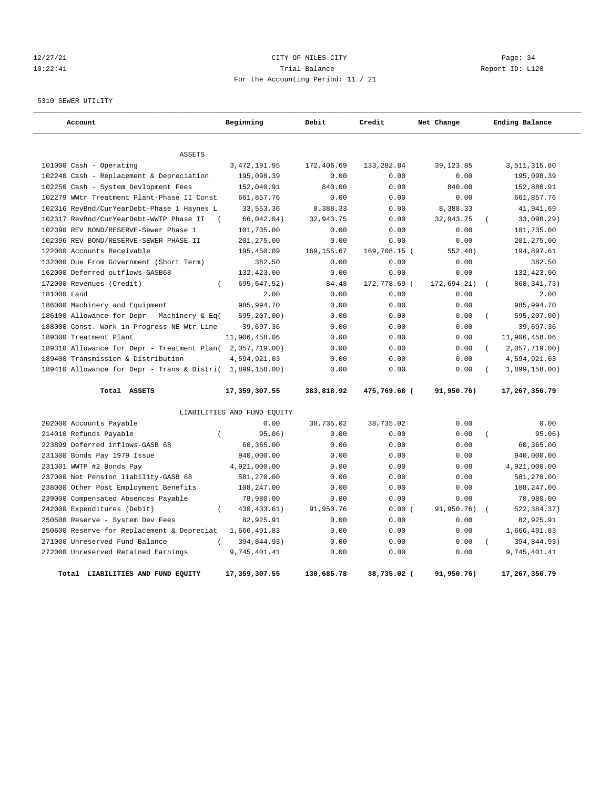## 12/27/21 CITY OF MILES CITY Page: 34 10:22:41 Trial Balance Report ID: L120 For the Accounting Period: 11 / 21

5310 SEWER UTILITY

| Account                                                   | Beginning                   | Debit       | Credit       | Net Change  | Ending Balance                |
|-----------------------------------------------------------|-----------------------------|-------------|--------------|-------------|-------------------------------|
|                                                           |                             |             |              |             |                               |
| <b>ASSETS</b>                                             |                             |             |              |             |                               |
| 101000 Cash - Operating                                   | 3, 472, 191.95              | 172,406.69  | 133, 282.84  | 39, 123.85  | 3,511,315.80                  |
| 102240 Cash - Replacement & Depreciation                  | 195,098.39                  | 0.00        | 0.00         | 0.00        | 195,098.39                    |
| 102250 Cash - System Devlopment Fees                      | 152,040.91                  | 840.00      | 0.00         | 840.00      | 152,880.91                    |
| 102279 WWtr Treatment Plant-Phase II Const                | 661,857.76                  | 0.00        | 0.00         | 0.00        | 661,857.76                    |
| 102316 RevBnd/CurYearDebt-Phase 1 Haynes L                | 33,553.36                   | 8,388.33    | 0.00         | 8,388.33    | 41,941.69                     |
| 102317 RevBnd/CurYearDebt-WWTP Phase II                   | 66,042.04)                  | 32,943.75   | 0.00         | 32,943.75   | 33,098.29)                    |
| 102390 REV BOND/RESERVE-Sewer Phase 1                     | 101,735.00                  | 0.00        | 0.00         | 0.00        | 101,735.00                    |
| 102396 REV BOND/RESERVE-SEWER PHASE II                    | 201,275.00                  | 0.00        | 0.00         | 0.00        | 201,275.00                    |
| 122000 Accounts Receivable                                | 195,450.09                  | 169, 155.67 | 169,708.15 ( | 552.48      | 194,897.61                    |
| 132000 Due From Government (Short Term)                   | 382.50                      | 0.00        | 0.00         | 0.00        | 382.50                        |
| 162000 Deferred outflows-GASB68                           | 132,423.00                  | 0.00        | 0.00         | 0.00        | 132,423.00                    |
| 172000 Revenues (Credit)<br>$\left($                      | 695,647.52)                 | 84.48       | 172,778.69 ( | 172,694.21) | 868, 341. 73)<br>$\left($     |
| 181000 Land                                               | 2.00                        | 0.00        | 0.00         | 0.00        | 2.00                          |
| 186000 Machinery and Equipment                            | 985,994.70                  | 0.00        | 0.00         | 0.00        | 985,994.70                    |
| 186100 Allowance for Depr - Machinery & Eq(               | 595,207.00)                 | 0.00        | 0.00         | 0.00        | 595,207.00)<br>$\left($       |
| 188000 Const. Work in Progress-NE Wtr Line                | 39,697.36                   | 0.00        | 0.00         | 0.00        | 39,697.36                     |
| 189300 Treatment Plant                                    | 11,906,458.06               | 0.00        | 0.00         | 0.00        | 11,906,458.06                 |
| 189310 Allowance for Depr - Treatment Plan(2,057,719.00)  |                             | 0.00        | 0.00         | 0.00        | 2,057,719.00)<br>$\left($     |
| 189400 Transmission & Distribution                        | 4,594,921.03                | 0.00        | 0.00         | 0.00        | 4,594,921.03                  |
| 189410 Allowance for Depr - Trans & Distri( 1,899,158.00) |                             | 0.00        | 0.00         | 0.00        | 1,899,158.00)                 |
| Total ASSETS                                              | 17,359,307.55               | 383,818.92  | 475,769.68 ( | 91,950.76)  | 17,267,356.79                 |
|                                                           | LIABILITIES AND FUND EQUITY |             |              |             |                               |
| 202000 Accounts Payable                                   | 0.00                        | 38,735.02   | 38,735.02    | 0.00        | 0.00                          |
| 214010 Refunds Payable<br>$\overline{ }$                  | 95.06)                      | 0.00        | 0.00         | 0.00        | 95.06)<br>$\overline{(\ }$    |
| 223899 Deferred inflows-GASB 68                           | 60,365.00                   | 0.00        | 0.00         | 0.00        | 60,365.00                     |
| 231300 Bonds Pay 1979 Issue                               | 940,000.00                  | 0.00        | 0.00         | 0.00        | 940,000.00                    |
| 231301 WWTP #2 Bonds Pay                                  | 4,921,000.00                | 0.00        | 0.00         | 0.00        | 4,921,000.00                  |
| 237000 Net Pension liability-GASB 68                      | 581,270.00                  | 0.00        | 0.00         | 0.00        | 581,270.00                    |
| 238000 Other Post Employment Benefits                     | 108,247.00                  | 0.00        | 0.00         | 0.00        | 108,247.00                    |
| 239000 Compensated Absences Payable                       | 78,980.00                   | 0.00        | 0.00         | 0.00        | 78,980.00                     |
| 242000 Expenditures (Debit)<br>$\overline{ }$             | 430, 433.61)                | 91,950.76   | 0.00(        | 91,950.76)  | 522,384.37)<br>$\overline{ }$ |
| 250500 Reserve - System Dev Fees                          | 82,925.91                   | 0.00        | 0.00         | 0.00        | 82,925.91                     |
| 250600 Reserve for Replacement & Depreciat                | 1,666,491.83                | 0.00        | 0.00         | 0.00        | 1,666,491.83                  |
| 271000 Unreserved Fund Balance<br>$\left($                | 394,844.93)                 | 0.00        | 0.00         | 0.00        | 394,844.93)                   |
| 272000 Unreserved Retained Earnings                       | 9,745,401.41                | 0.00        | 0.00         | 0.00        | 9,745,401.41                  |
| Total LIABILITIES AND FUND EQUITY                         | 17,359,307.55               | 130,685.78  | 38,735.02 (  | 91,950.76)  | 17,267,356.79                 |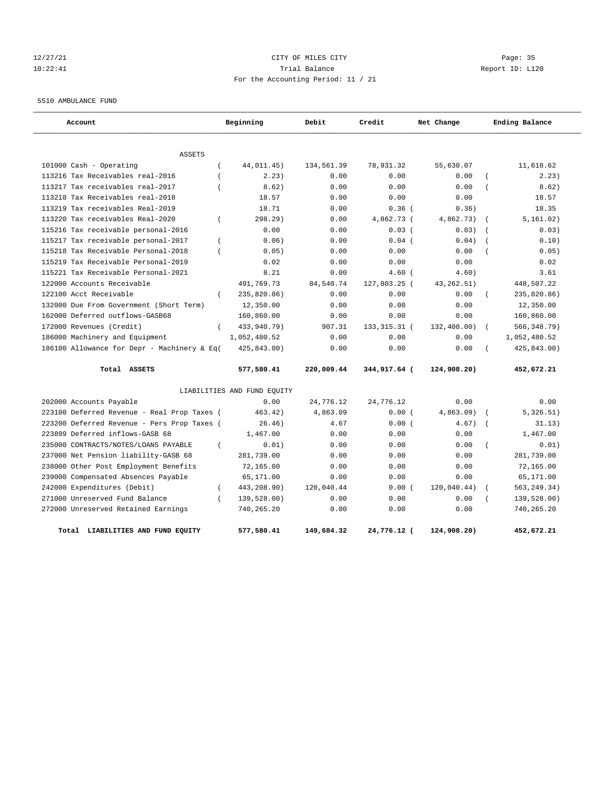## 12/27/21 CITY OF MILES CITY Page: 35 10:22:41 Trial Balance Report ID: L120 For the Accounting Period: 11 / 21

5510 AMBULANCE FUND

| Account                                               | Beginning                   | Debit      | Credit         | Net Change   | Ending Balance           |
|-------------------------------------------------------|-----------------------------|------------|----------------|--------------|--------------------------|
| <b>ASSETS</b>                                         |                             |            |                |              |                          |
| 101000 Cash - Operating<br>$\overline{ }$             | 44,011.45)                  | 134,561.39 | 78,931.32      | 55,630.07    | 11,618.62                |
| 113216 Tax Receivables real-2016                      | 2.23)                       | 0.00       | 0.00           | 0.00         | 2.23)                    |
| 113217 Tax receivables real-2017                      | 8.62)                       | 0.00       | 0.00           | 0.00         | 8.62)                    |
| 113218 Tax Receivables real-2018                      | 18.57                       | 0.00       | 0.00           | 0.00         | 18.57                    |
| 113219 Tax receivables Real-2019                      | 18.71                       | 0.00       | $0.36$ (       | 0.36)        | 18.35                    |
| 113220 Tax receivables Real-2020<br>$\overline{(\ }$  | 298.29                      | 0.00       | 4,862.73 (     | 4,862.73)    | 5, 161, 02)              |
| 115216 Tax receivable personal-2016                   | 0.00                        | 0.00       | $0.03$ (       | 0.03)        | 0.03)                    |
| 115217 Tax receivable personal-2017<br>$\left($       | 0.06)                       | 0.00       | $0.04$ (       | 0.04)        | 0.10)                    |
| 115218 Tax Receivable Personal-2018<br>$\overline{ }$ | 0.05)                       | 0.00       | 0.00           | 0.00         | 0.05)                    |
| 115219 Tax Receivable Personal-2019                   | 0.02                        | 0.00       | 0.00           | 0.00         | 0.02                     |
| 115221 Tax Receivable Personal-2021                   | 8.21                        | 0.00       | $4.60$ (       | 4.60)        | 3.61                     |
| 122000 Accounts Receivable                            | 491,769.73                  | 84,540.74  | 127,803.25 (   | 43, 262. 51) | 448,507.22               |
| 122100 Acct Receivable<br>$\left($                    | 235,820.86)                 | 0.00       | 0.00           | 0.00         | 235,820.86)              |
| 132000 Due From Government (Short Term)               | 12,350.00                   | 0.00       | 0.00           | 0.00         | 12,350.00                |
| 162000 Deferred outflows-GASB68                       | 160,860.00                  | 0.00       | 0.00           | 0.00         | 160,860.00               |
| 172000 Revenues (Credit)<br>$\left($                  | 433,940.79)                 | 907.31     | 133, 315. 31 ( | 132,408.00)  | 566, 348.79)<br>$\left($ |
| 186000 Machinery and Equipment                        | 1,052,480.52                | 0.00       | 0.00           | 0.00         | 1,052,480.52             |
| 186100 Allowance for Depr - Machinery & Eq(           | 425,843.00)                 | 0.00       | 0.00           | 0.00         | 425,843.00)              |
| Total ASSETS                                          | 577,580.41                  | 220,009.44 | 344,917.64 (   | 124,908.20)  | 452,672.21               |
|                                                       | LIABILITIES AND FUND EQUITY |            |                |              |                          |
| 202000 Accounts Payable                               | 0.00                        | 24,776.12  | 24,776.12      | 0.00         | 0.00                     |
| 223100 Deferred Revenue - Real Prop Taxes (           | 463.42)                     | 4,863.09   | 0.00(          | $4,863.09$ ) | 5,326.51)<br>$\sqrt{ }$  |
| 223200 Deferred Revenue - Pers Prop Taxes (           | 26.46)                      | 4.67       | 0.00(          | 4.67)        | 31.13)<br>$\sqrt{ }$     |
| 223899 Deferred inflows-GASB 68                       | 1,467.00                    | 0.00       | 0.00           | 0.00         | 1,467.00                 |
| 235000 CONTRACTS/NOTES/LOANS PAYABLE<br>$\left($      | 0.01)                       | 0.00       | 0.00           | 0.00         | 0.01)<br>$\left($        |
| 237000 Net Pension liability-GASB 68                  | 281,739.00                  | 0.00       | 0.00           | 0.00         | 281,739.00               |
| 238000 Other Post Employment Benefits                 | 72,165.00                   | 0.00       | 0.00           | 0.00         | 72,165.00                |
| 239000 Compensated Absences Payable                   | 65,171.00                   | 0.00       | 0.00           | 0.00         | 65,171.00                |
| 242000 Expenditures (Debit)<br>$\left($               | 443,208.90)                 | 120,040.44 | 0.00(          | 120,040.44)  | 563, 249. 34)            |
| 271000 Unreserved Fund Balance<br>$\left($            | 139,528.00)                 | 0.00       | 0.00           | 0.00         | 139,528.00)              |
| 272000 Unreserved Retained Earnings                   | 740,265.20                  | 0.00       | 0.00           | 0.00         | 740,265.20               |
| Total<br>LIABILITIES AND FUND EQUITY                  | 577,580.41                  | 149,684.32 | 24,776.12 (    | 124,908.20)  | 452,672.21               |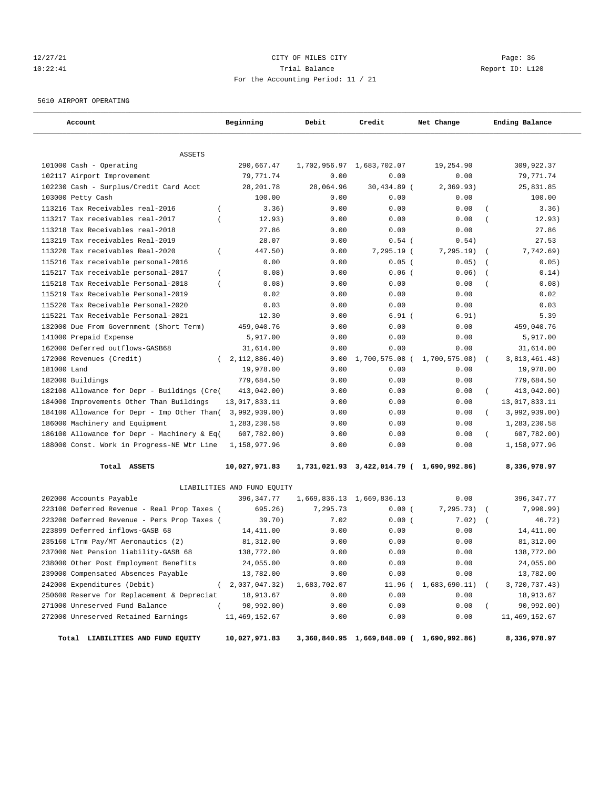## 12/27/21 CITY OF MILES CITY Page: 36 10:22:41 Trial Balance Report ID: L120 For the Accounting Period: 11 / 21

5610 AIRPORT OPERATING

| Account                                               | Beginning                   | Debit        | Credit                                    | Net Change    | Ending Balance          |
|-------------------------------------------------------|-----------------------------|--------------|-------------------------------------------|---------------|-------------------------|
| <b>ASSETS</b>                                         |                             |              |                                           |               |                         |
| 101000 Cash - Operating                               | 290,667.47                  |              | 1,702,956.97 1,683,702.07                 | 19,254.90     | 309,922.37              |
| 102117 Airport Improvement                            | 79,771.74                   | 0.00         | 0.00                                      | 0.00          | 79,771.74               |
| 102230 Cash - Surplus/Credit Card Acct                | 28, 201.78                  | 28,064.96    | 30,434.89 (                               | 2,369.93)     | 25,831.85               |
| 103000 Petty Cash                                     | 100.00                      | 0.00         | 0.00                                      | 0.00          | 100.00                  |
| 113216 Tax Receivables real-2016<br>$\overline{ }$    | 3.36)                       | 0.00         | 0.00                                      | 0.00          | 3.36)                   |
| 113217 Tax receivables real-2017                      | 12.93)                      | 0.00         | 0.00                                      | 0.00          | 12.93)<br>$\left($      |
| 113218 Tax Receivables real-2018                      | 27.86                       | 0.00         | 0.00                                      | 0.00          | 27.86                   |
| 113219 Tax receivables Real-2019                      | 28.07                       | 0.00         | $0.54$ (                                  | 0.54)         | 27.53                   |
| 113220 Tax receivables Real-2020<br>$\left($          | 447.50)                     | 0.00         | $7,295.19$ (                              | 7, 295.19)    | 7,742.69)               |
| 115216 Tax receivable personal-2016                   | 0.00                        | 0.00         | $0.05$ (                                  | 0.05)         | 0.05)                   |
| 115217 Tax receivable personal-2017<br>$\left($       | 0.08)                       | 0.00         | $0.06$ (                                  | 0.06)         | 0.14)                   |
| 115218 Tax Receivable Personal-2018<br>$\overline{ }$ | 0.08)                       | 0.00         | 0.00                                      | 0.00          | 0.08)<br>$\overline{ }$ |
| 115219 Tax Receivable Personal-2019                   | 0.02                        | 0.00         | 0.00                                      | 0.00          | 0.02                    |
| 115220 Tax Receivable Personal-2020                   | 0.03                        | 0.00         | 0.00                                      | 0.00          | 0.03                    |
| 115221 Tax Receivable Personal-2021                   | 12.30                       | 0.00         | $6.91$ (                                  | 6.91)         | 5.39                    |
| 132000 Due From Government (Short Term)               | 459,040.76                  | 0.00         | 0.00                                      | 0.00          | 459,040.76              |
| 141000 Prepaid Expense                                | 5,917.00                    | 0.00         | 0.00                                      | 0.00          | 5,917.00                |
| 162000 Deferred outflows-GASB68                       | 31,614.00                   | 0.00         | 0.00                                      | 0.00          | 31,614.00               |
| 172000 Revenues (Credit)                              | 2, 112, 886.40)             | 0.00         | 1,700,575.08 (                            | 1,700,575.08) | 3,813,461.48)           |
| 181000 Land                                           | 19,978.00                   | 0.00         | 0.00                                      | 0.00          | 19,978.00               |
| 182000 Buildings                                      | 779,684.50                  | 0.00         | 0.00                                      | 0.00          | 779,684.50              |
| 182100 Allowance for Depr - Buildings (Cre(           | 413,042.00)                 | 0.00         | 0.00                                      | 0.00          | 413,042.00)<br>$\left($ |
| 184000 Improvements Other Than Buildings              | 13,017,833.11               | 0.00         | 0.00                                      | 0.00          | 13,017,833.11           |
| 184100 Allowance for Depr - Imp Other Than(           | 3,992,939.00)               | 0.00         | 0.00                                      | 0.00          | 3,992,939.00)           |
| 186000 Machinery and Equipment                        | 1,283,230.58                | 0.00         | 0.00                                      | 0.00          | 1,283,230.58            |
| 186100 Allowance for Depr - Machinery & Eq(           | 607,782.00)                 | 0.00         | 0.00                                      | 0.00          | 607,782.00)             |
| 188000 Const. Work in Progress-NE Wtr Line            | 1,158,977.96                | 0.00         | 0.00                                      | 0.00          | 1,158,977.96            |
| Total ASSETS                                          | 10,027,971.83               |              | 1,731,021.93 3,422,014.79 ( 1,690,992.86) |               | 8,336,978.97            |
|                                                       | LIABILITIES AND FUND EQUITY |              |                                           |               |                         |
| 202000 Accounts Payable                               | 396, 347.77                 |              | 1,669,836.13 1,669,836.13                 | 0.00          | 396,347.77              |
| 223100 Deferred Revenue - Real Prop Taxes (           | 695.26)                     | 7,295.73     | 0.00(                                     | 7, 295.73)    | 7,990.99)               |
| 223200 Deferred Revenue - Pers Prop Taxes (           | 39.70)                      | 7.02         | 0.00(                                     | 7.02)         | 46.72)<br>$\sqrt{ }$    |
| 223899 Deferred inflows-GASB 68                       | 14,411.00                   | 0.00         | 0.00                                      | 0.00          | 14,411.00               |
| 235160 LTrm Pay/MT Aeronautics (2)                    | 81,312.00                   | 0.00         | 0.00                                      | 0.00          | 81,312.00               |
| 237000 Net Pension liability-GASB 68                  | 138,772.00                  | 0.00         | 0.00                                      | 0.00          | 138,772.00              |
| 238000 Other Post Employment Benefits                 | 24,055.00                   | 0.00         | 0.00                                      | 0.00          | 24,055.00               |
| 239000 Compensated Absences Payable                   | 13,782.00                   | 0.00         | 0.00                                      | 0.00          | 13,782.00               |
| 242000 Expenditures (Debit)                           | 2,037,047.32)               | 1,683,702.07 | 11.96 (                                   | 1,683,690.11) | 3,720,737.43)           |
| 250600 Reserve for Replacement & Depreciat            | 18,913.67                   | 0.00         | 0.00                                      | 0.00          | 18,913.67               |
| 271000 Unreserved Fund Balance                        | 90, 992.00)                 | 0.00         | 0.00                                      | 0.00          | 90,992.00)<br>$\left($  |
| 272000 Unreserved Retained Earnings                   | 11, 469, 152.67             | 0.00         | 0.00                                      | 0.00          | 11, 469, 152.67         |
| Total LIABILITIES AND FUND EQUITY                     | 10,027,971.83               |              | 3,360,840.95 1,669,848.09 ( 1,690,992.86) |               | 8,336,978.97            |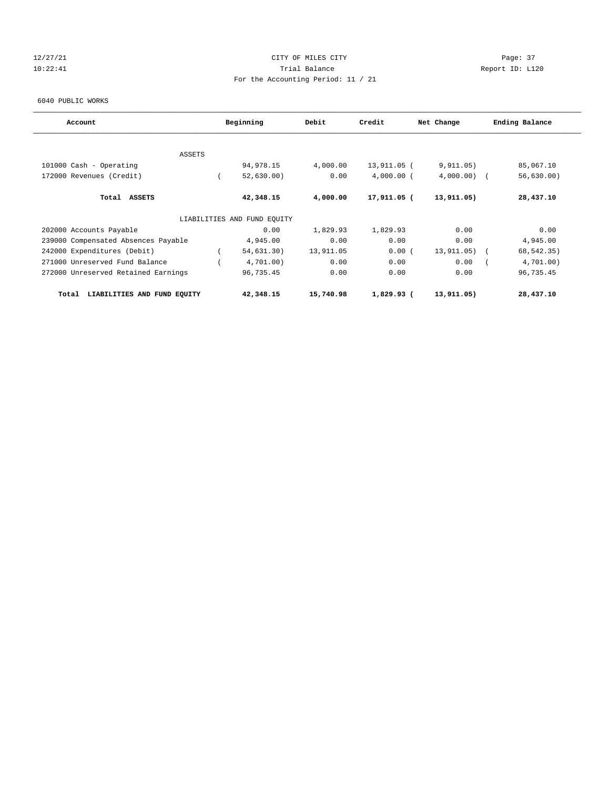## 12/27/21 CITY OF MILES CITY Page: 37 10:22:41 Trial Balance Report ID: L120 For the Accounting Period: 11 / 21

6040 PUBLIC WORKS

| Account                              | Beginning                   | Debit     | Credit       | Net Change | Ending Balance |
|--------------------------------------|-----------------------------|-----------|--------------|------------|----------------|
|                                      |                             |           |              |            |                |
| <b>ASSETS</b>                        |                             |           |              |            |                |
| 101000 Cash - Operating              | 94, 978. 15                 | 4,000.00  | 13,911.05 (  | 9,911.05)  | 85,067.10      |
| 172000 Revenues (Credit)             | 52,630.00)                  | 0.00      | $4,000.00$ ( | 4,000.00   | 56,630.00)     |
| Total ASSETS                         | 42,348.15                   | 4,000.00  | 17,911.05 (  | 13,911.05) | 28,437.10      |
|                                      | LIABILITIES AND FUND EQUITY |           |              |            |                |
| 202000 Accounts Payable              | 0.00                        | 1,829.93  | 1,829.93     | 0.00       | 0.00           |
| 239000 Compensated Absences Payable  | 4,945.00                    | 0.00      | 0.00         | 0.00       | 4,945.00       |
| 242000 Expenditures (Debit)          | 54,631.30)                  | 13,911.05 | 0.00(        | 13,911.05) | 68, 542. 35)   |
| 271000 Unreserved Fund Balance       | 4,701.00)                   | 0.00      | 0.00         | 0.00       | 4,701.00)      |
| 272000 Unreserved Retained Earnings  | 96,735.45                   | 0.00      | 0.00         | 0.00       | 96,735.45      |
| LIABILITIES AND FUND EQUITY<br>Total | 42,348.15                   | 15,740.98 | 1,829.93 (   | 13,911.05) | 28,437.10      |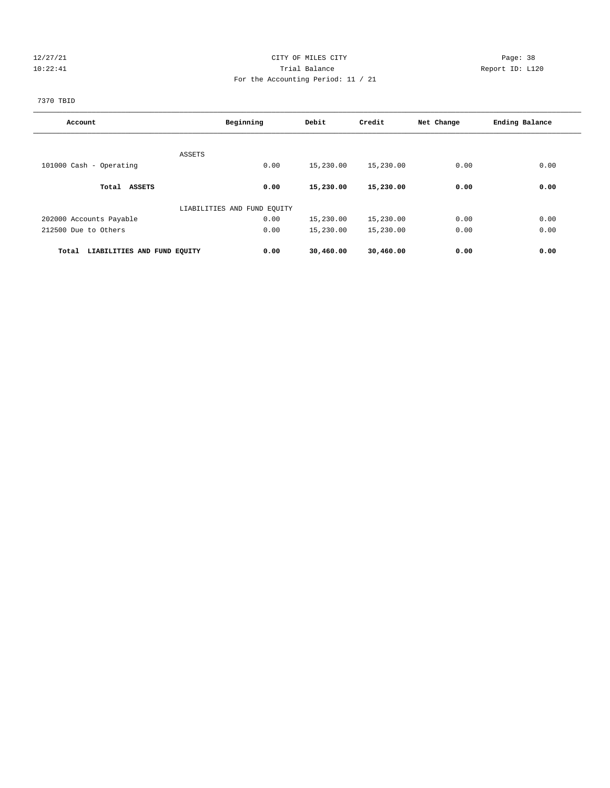## 12/27/21 CITY OF MILES CITY Page: 38 10:22:41 Trial Balance Report ID: L120 For the Accounting Period: 11 / 21

7370 TBID

| Account                              | Beginning                   | Debit     | Credit    | Net Change | Ending Balance |
|--------------------------------------|-----------------------------|-----------|-----------|------------|----------------|
| ASSETS                               |                             |           |           |            |                |
| 101000 Cash - Operating              | 0.00                        | 15,230.00 | 15,230.00 | 0.00       | 0.00           |
| Total ASSETS                         | 0.00                        | 15,230.00 | 15,230.00 | 0.00       | 0.00           |
|                                      | LIABILITIES AND FUND EQUITY |           |           |            |                |
| 202000 Accounts Payable              | 0.00                        | 15,230.00 | 15,230.00 | 0.00       | 0.00           |
| 212500 Due to Others                 | 0.00                        | 15,230.00 | 15,230.00 | 0.00       | 0.00           |
| LIABILITIES AND FUND EQUITY<br>Total | 0.00                        | 30,460.00 | 30,460.00 | 0.00       | 0.00           |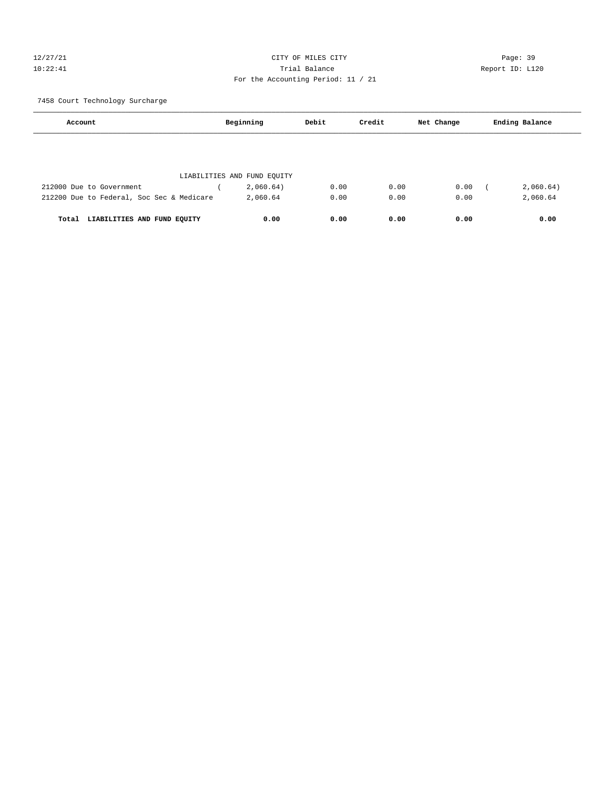## 12/27/21 CITY OF MILES CITY Page: 39 10:22:41 Trial Balance Report ID: L120 For the Accounting Period: 11 / 21

#### 7458 Court Technology Surcharge

| Account                                   | Beginning                   | Debit | Credit | Net Change | Ending Balance |
|-------------------------------------------|-----------------------------|-------|--------|------------|----------------|
|                                           |                             |       |        |            |                |
|                                           |                             |       |        |            |                |
|                                           | LIABILITIES AND FUND EQUITY |       |        |            |                |
| 212000 Due to Government                  | 2,060.64)                   | 0.00  | 0.00   | 0.00       | 2,060.64)      |
| 212200 Due to Federal, Soc Sec & Medicare | 2,060.64                    | 0.00  | 0.00   | 0.00       | 2,060.64       |
| LIABILITIES AND FUND EQUITY<br>Total      | 0.00                        | 0.00  | 0.00   | 0.00       | 0.00           |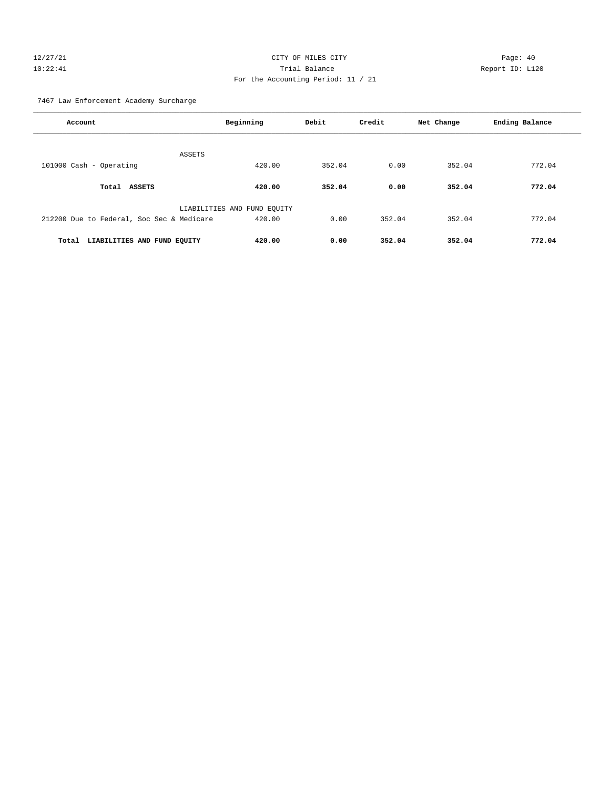## 12/27/21 CITY OF MILES CITY Page: 40 10:22:41 Trial Balance Report ID: L120 For the Accounting Period: 11 / 21

7467 Law Enforcement Academy Surcharge

| Account                                   | Beginning                   | Debit  | Credit | Net Change | Ending Balance |
|-------------------------------------------|-----------------------------|--------|--------|------------|----------------|
| ASSETS                                    |                             |        |        |            |                |
| 101000 Cash - Operating                   | 420.00                      | 352.04 | 0.00   | 352.04     | 772.04         |
| Total ASSETS                              | 420.00                      | 352.04 | 0.00   | 352.04     | 772.04         |
|                                           | LIABILITIES AND FUND EQUITY |        |        |            |                |
| 212200 Due to Federal, Soc Sec & Medicare | 420.00                      | 0.00   | 352.04 | 352.04     | 772.04         |
| LIABILITIES AND FUND EQUITY<br>Total      | 420.00                      | 0.00   | 352.04 | 352.04     | 772.04         |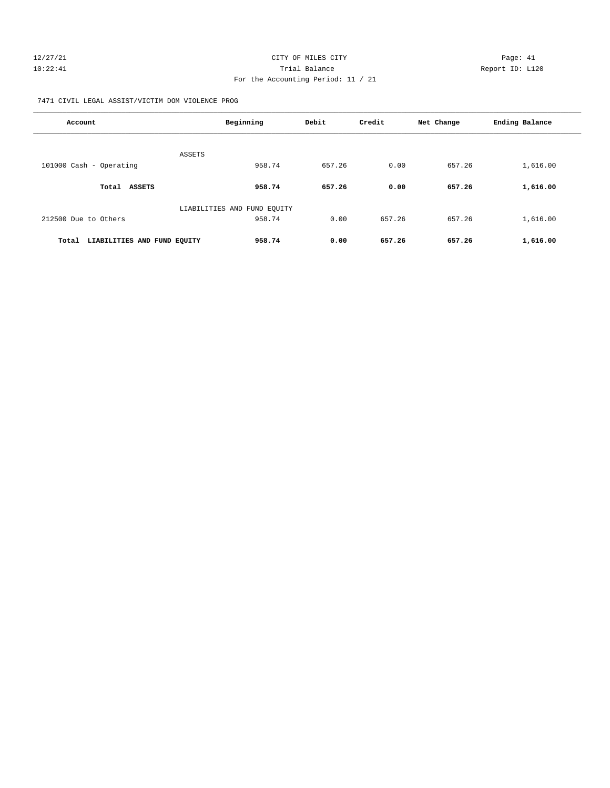| 12/27/21 | CITY OF MILES CITY                 | Page: 41        |
|----------|------------------------------------|-----------------|
| 10:22:41 | Trial Balance                      | Report ID: L120 |
|          | For the Accounting Period: 11 / 21 |                 |

7471 CIVIL LEGAL ASSIST/VICTIM DOM VIOLENCE PROG

| Account                              | Beginning                   | Debit  | Credit | Net Change | Ending Balance |
|--------------------------------------|-----------------------------|--------|--------|------------|----------------|
|                                      | ASSETS                      |        |        |            |                |
| 101000 Cash - Operating              | 958.74                      | 657.26 | 0.00   | 657.26     | 1,616.00       |
| Total<br><b>ASSETS</b>               | 958.74                      | 657.26 | 0.00   | 657.26     | 1,616.00       |
|                                      | LIABILITIES AND FUND EQUITY |        |        |            |                |
| 212500 Due to Others                 | 958.74                      | 0.00   | 657.26 | 657.26     | 1,616.00       |
| LIABILITIES AND FUND EQUITY<br>Total | 958.74                      | 0.00   | 657.26 | 657.26     | 1,616.00       |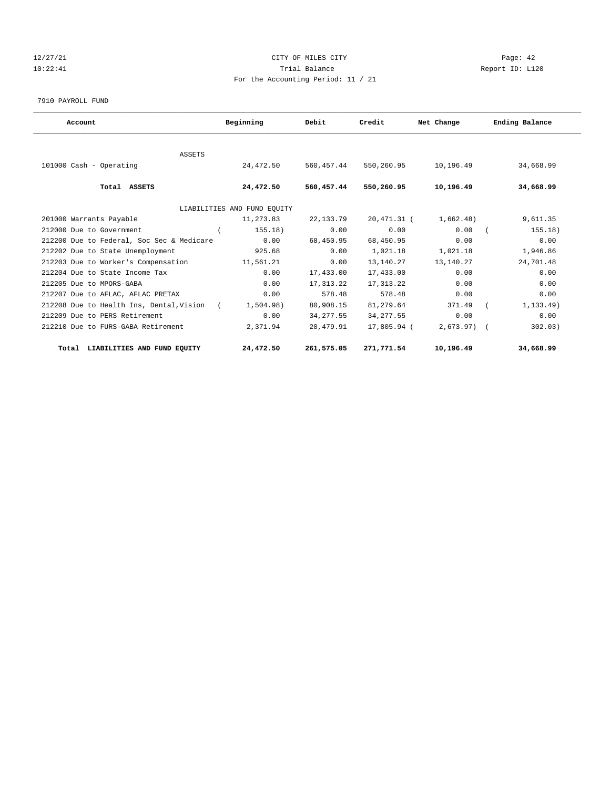## 12/27/21 CITY OF MILES CITY Page: 42 10:22:41 Trial Balance Report ID: L120 For the Accounting Period: 11 / 21

#### 7910 PAYROLL FUND

| Account                                   |            | Beginning                   | Debit      | Credit      | Net Change   | Ending Balance |
|-------------------------------------------|------------|-----------------------------|------------|-------------|--------------|----------------|
|                                           |            |                             |            |             |              |                |
|                                           |            |                             |            |             |              |                |
| ASSETS                                    |            |                             |            |             |              |                |
| 101000 Cash - Operating                   |            | 24,472.50                   | 560,457.44 | 550,260.95  | 10,196.49    | 34,668.99      |
| Total ASSETS                              |            | 24,472.50                   | 560,457.44 | 550,260.95  | 10,196.49    | 34,668.99      |
|                                           |            | LIABILITIES AND FUND EOUITY |            |             |              |                |
| 201000 Warrants Payable                   |            | 11,273.83                   | 22, 133.79 | 20,471.31 ( | 1,662.48)    | 9,611.35       |
| 212000 Due to Government                  |            | 155.18)                     | 0.00       | 0.00        | 0.00         | 155.18)        |
| 212200 Due to Federal, Soc Sec & Medicare |            | 0.00                        | 68,450.95  | 68,450.95   | 0.00         | 0.00           |
| 212202 Due to State Unemployment          |            | 925.68                      | 0.00       | 1,021.18    | 1,021.18     | 1,946.86       |
| 212203 Due to Worker's Compensation       |            | 11,561.21                   | 0.00       | 13,140.27   | 13,140.27    | 24,701.48      |
| 212204 Due to State Income Tax            |            | 0.00                        | 17,433.00  | 17,433.00   | 0.00         | 0.00           |
| 212205 Due to MPORS-GABA                  |            | 0.00                        | 17, 313.22 | 17, 313.22  | 0.00         | 0.00           |
| 212207 Due to AFLAC, AFLAC PRETAX         |            | 0.00                        | 578.48     | 578.48      | 0.00         | 0.00           |
| 212208 Due to Health Ins, Dental, Vision  | $\sqrt{2}$ | 1,504.98)                   | 80,908.15  | 81,279.64   | 371.49       | 1, 133.49)     |
| 212209 Due to PERS Retirement             |            | 0.00                        | 34, 277.55 | 34, 277.55  | 0.00         | 0.00           |
| 212210 Due to FURS-GABA Retirement        |            | 2,371.94                    | 20,479.91  | 17,805.94 ( | $2,673.97$ ( | 302.03)        |
| Total LIABILITIES AND FUND EQUITY         |            | 24,472.50                   | 261,575.05 | 271,771.54  | 10,196.49    | 34,668.99      |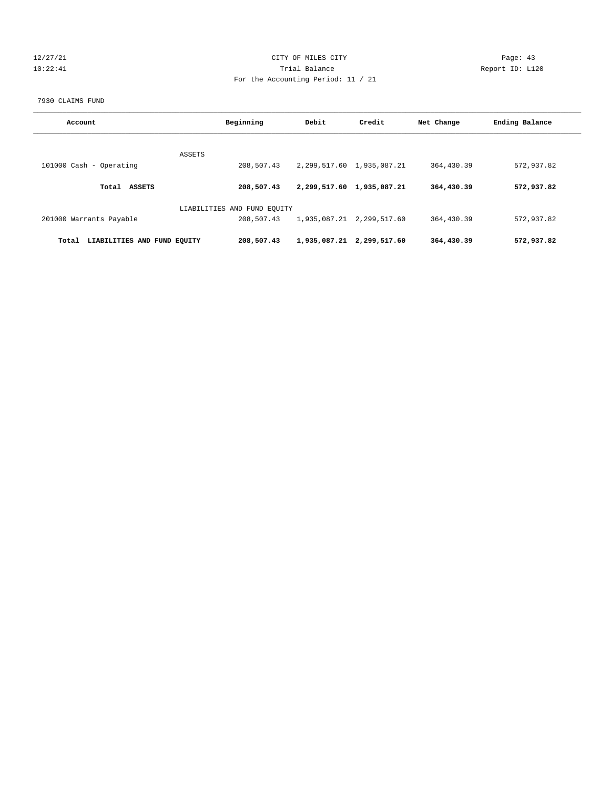## 12/27/21 CITY OF MILES CITY Page: 43 10:22:41 Trial Balance Report ID: L120 For the Accounting Period: 11 / 21

#### 7930 CLAIMS FUND

| Account                              | Beginning                   | Debit        | Credit                        | Net Change | Ending Balance |
|--------------------------------------|-----------------------------|--------------|-------------------------------|------------|----------------|
|                                      | ASSETS                      |              |                               |            |                |
| 101000 Cash - Operating              | 208,507.43                  |              | 2, 299, 517.60 1, 935, 087.21 | 364,430.39 | 572,937.82     |
| <b>ASSETS</b><br>Total               | 208,507.43                  | 2,299,517.60 | 1,935,087.21                  | 364,430.39 | 572,937.82     |
|                                      | LIABILITIES AND FUND EOUITY |              |                               |            |                |
| 201000 Warrants Payable              | 208,507.43                  |              | 1,935,087.21 2,299,517.60     | 364,430.39 | 572,937.82     |
| LIABILITIES AND FUND EQUITY<br>Total | 208,507.43                  |              | 1,935,087.21 2,299,517.60     | 364,430.39 | 572,937.82     |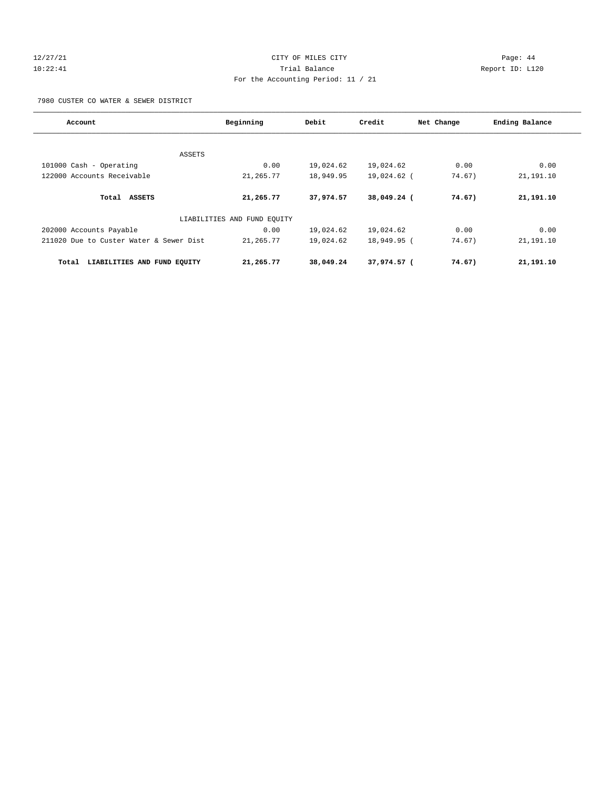## 12/27/21 CITY OF MILES CITY Page: 44 10:22:41 Trial Balance Report ID: L120 For the Accounting Period: 11 / 21

7980 CUSTER CO WATER & SEWER DISTRICT

| Account                                 | Beginning                   | Debit     | Credit      | Net Change | Ending Balance |
|-----------------------------------------|-----------------------------|-----------|-------------|------------|----------------|
|                                         |                             |           |             |            |                |
| ASSETS                                  |                             |           |             | 0.00       | 0.00           |
| 101000 Cash - Operating                 | 0.00                        | 19,024.62 | 19,024.62   |            |                |
| 122000 Accounts Receivable              | 21,265.77                   | 18,949.95 | 19,024.62 ( | 74.67)     | 21,191.10      |
| Total ASSETS                            | 21,265.77                   | 37,974.57 | 38,049.24 ( | 74.67)     | 21,191.10      |
|                                         | LIABILITIES AND FUND EQUITY |           |             |            |                |
| 202000 Accounts Payable                 | 0.00                        | 19,024.62 | 19,024.62   | 0.00       | 0.00           |
| 211020 Due to Custer Water & Sewer Dist | 21, 265.77                  | 19,024.62 | 18,949.95 ( | 74.67)     | 21,191.10      |
| LIABILITIES AND FUND EQUITY<br>Total    | 21,265.77                   | 38,049.24 | 37,974.57 ( | 74.67)     | 21,191.10      |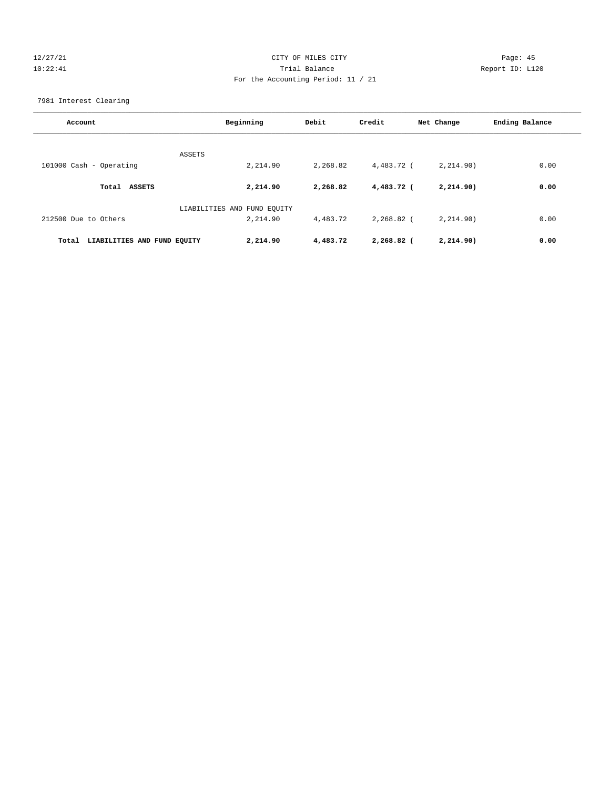## 12/27/21 CITY OF MILES CITY Page: 45 10:22:41 Trial Balance Report ID: L120 For the Accounting Period: 11 / 21

7981 Interest Clearing

| Account                              | Beginning                   | Debit    | Credit       | Net Change | Ending Balance |
|--------------------------------------|-----------------------------|----------|--------------|------------|----------------|
| ASSETS                               |                             |          |              |            |                |
| 101000 Cash - Operating              | 2,214.90                    | 2,268.82 | 4,483.72 (   | 2, 214.90) | 0.00           |
| Total<br>ASSETS                      | 2,214.90                    | 2,268.82 | 4,483.72 (   | 2,214.90)  | 0.00           |
|                                      | LIABILITIES AND FUND EQUITY |          |              |            |                |
| 212500 Due to Others                 | 2,214.90                    | 4,483.72 | $2,268.82$ ( | 2, 214.90) | 0.00           |
| LIABILITIES AND FUND EQUITY<br>Total | 2,214.90                    | 4,483.72 | 2,268.82 (   | 2,214.90)  | 0.00           |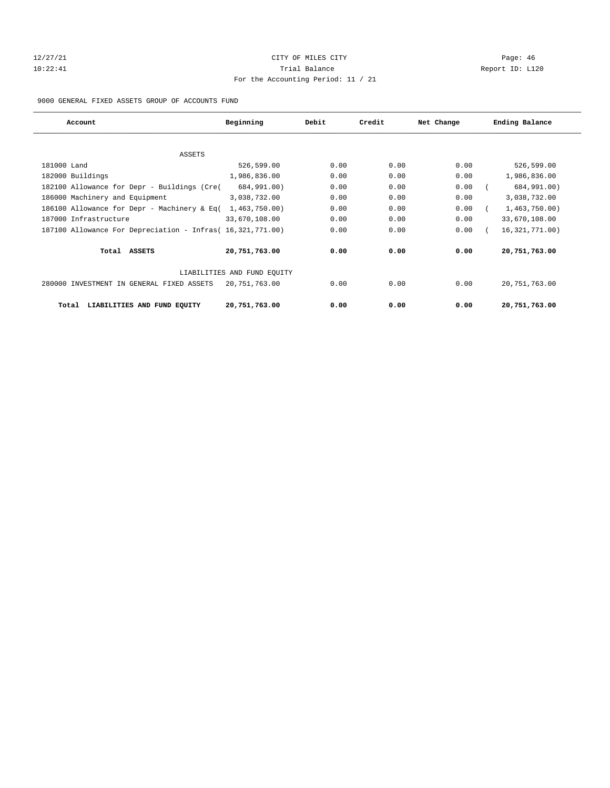# 12/27/21 CITY OF MILES CITY Page: 46 10:22:41 Trial Balance Report ID: L120 For the Accounting Period: 11 / 21

9000 GENERAL FIXED ASSETS GROUP OF ACCOUNTS FUND

| Account                                                    | Beginning                   | Debit | Credit | Net Change | Ending Balance   |
|------------------------------------------------------------|-----------------------------|-------|--------|------------|------------------|
|                                                            |                             |       |        |            |                  |
| ASSETS                                                     |                             |       |        |            |                  |
| 181000 Land                                                | 526,599.00                  | 0.00  | 0.00   | 0.00       | 526,599.00       |
| 182000 Buildings                                           | 1,986,836.00                | 0.00  | 0.00   | 0.00       | 1,986,836.00     |
| 182100 Allowance for Depr - Buildings (Cre(                | 684,991.00)                 | 0.00  | 0.00   | 0.00       | 684,991.00)      |
| 186000 Machinery and Equipment                             | 3,038,732.00                | 0.00  | 0.00   | 0.00       | 3,038,732.00     |
| 186100 Allowance for Depr - Machinery & Eq(                | 1,463,750.00)               | 0.00  | 0.00   | 0.00       | 1,463,750.00     |
| 187000 Infrastructure                                      | 33,670,108.00               | 0.00  | 0.00   | 0.00       | 33,670,108.00    |
| 187100 Allowance For Depreciation - Infras (16,321,771.00) |                             | 0.00  | 0.00   | 0.00       | 16, 321, 771.00) |
| Total ASSETS                                               | 20,751,763.00               | 0.00  | 0.00   | 0.00       | 20,751,763.00    |
|                                                            | LIABILITIES AND FUND EQUITY |       |        |            |                  |
| 280000 INVESTMENT IN GENERAL FIXED ASSETS                  | 20,751,763.00               | 0.00  | 0.00   | 0.00       | 20,751,763.00    |
| LIABILITIES AND FUND EQUITY<br>Total                       | 20,751,763.00               | 0.00  | 0.00   | 0.00       | 20,751,763.00    |